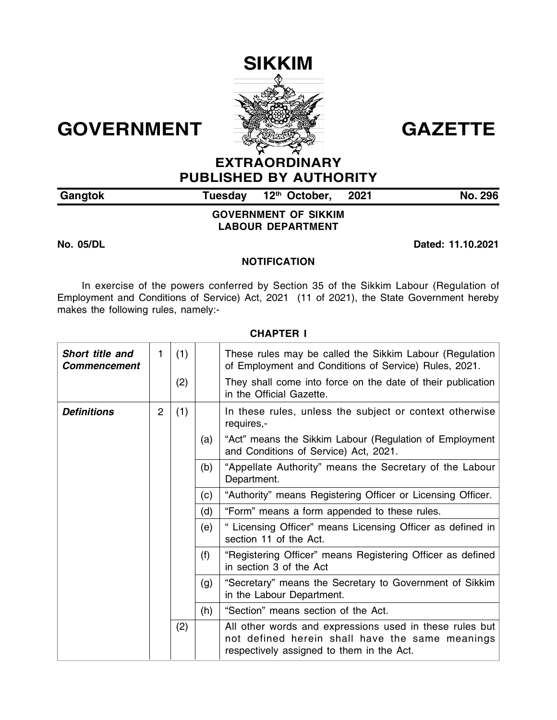# **SIKKIM**



# GOVERNMENT **SALEMAN GAZETTE**

# **EXTRAORDINARY PUBLISHED BY AUTHORITY**

| Gangtok | Tuesday 12 <sup>th</sup> October, | 2021 | <b>No. 296</b> |
|---------|-----------------------------------|------|----------------|

**GOVERNMENT OF SIKKIM LABOUR DEPARTMENT**

**No. 05/DL Dated: 11.10.2021**

#### **NOTIFICATION**

In exercise of the powers conferred by Section 35 of the Sikkim Labour (Regulation of Employment and Conditions of Service) Act, 2021 (11 of 2021), the State Government hereby makes the following rules, namely:-

| Short title and<br><b>Commencement</b> | 1              | (1) |     | These rules may be called the Sikkim Labour (Regulation<br>of Employment and Conditions of Service) Rules, 2021.                                        |
|----------------------------------------|----------------|-----|-----|---------------------------------------------------------------------------------------------------------------------------------------------------------|
|                                        |                | (2) |     | They shall come into force on the date of their publication<br>in the Official Gazette.                                                                 |
| <b>Definitions</b>                     | $\overline{2}$ | (1) |     | In these rules, unless the subject or context otherwise<br>requires,-                                                                                   |
|                                        |                |     | (a) | "Act" means the Sikkim Labour (Regulation of Employment<br>and Conditions of Service) Act, 2021.                                                        |
|                                        |                |     | (b) | "Appellate Authority" means the Secretary of the Labour<br>Department.                                                                                  |
|                                        |                |     | (c) | "Authority" means Registering Officer or Licensing Officer.                                                                                             |
|                                        |                |     | (d) | "Form" means a form appended to these rules.                                                                                                            |
|                                        |                |     | (e) | " Licensing Officer" means Licensing Officer as defined in<br>section 11 of the Act.                                                                    |
|                                        |                |     | (f) | "Registering Officer" means Registering Officer as defined<br>in section 3 of the Act                                                                   |
|                                        |                |     | (g) | "Secretary" means the Secretary to Government of Sikkim<br>in the Labour Department.                                                                    |
|                                        |                |     | (h) | "Section" means section of the Act.                                                                                                                     |
|                                        |                | (2) |     | All other words and expressions used in these rules but<br>not defined herein shall have the same meanings<br>respectively assigned to them in the Act. |

#### **CHAPTER I**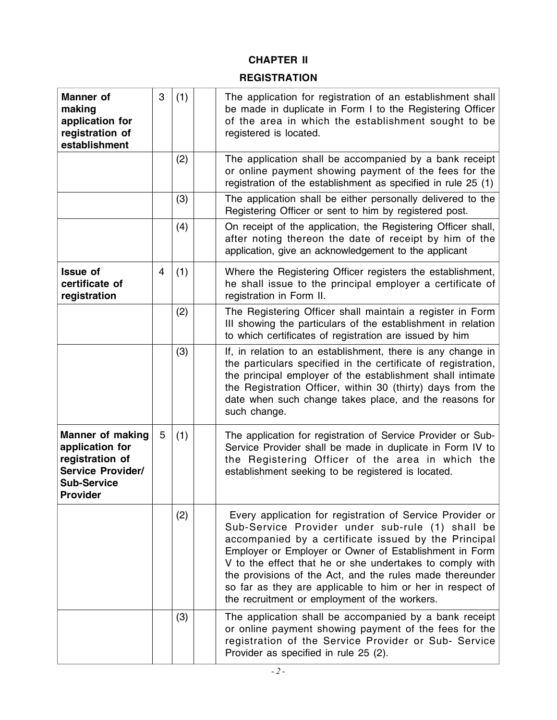# **CHAPTER II**

# **REGISTRATION**

| <b>Manner</b> of<br>making<br>application for<br>registration of<br>establishment                                           | 3              | (1) | The application for registration of an establishment shall<br>be made in duplicate in Form I to the Registering Officer<br>of the area in which the establishment sought to be<br>registered is located.                                                                                                                                                                                                                                                              |
|-----------------------------------------------------------------------------------------------------------------------------|----------------|-----|-----------------------------------------------------------------------------------------------------------------------------------------------------------------------------------------------------------------------------------------------------------------------------------------------------------------------------------------------------------------------------------------------------------------------------------------------------------------------|
|                                                                                                                             |                | (2) | The application shall be accompanied by a bank receipt<br>or online payment showing payment of the fees for the<br>registration of the establishment as specified in rule 25 (1)                                                                                                                                                                                                                                                                                      |
|                                                                                                                             |                | (3) | The application shall be either personally delivered to the<br>Registering Officer or sent to him by registered post.                                                                                                                                                                                                                                                                                                                                                 |
|                                                                                                                             |                | (4) | On receipt of the application, the Registering Officer shall,<br>after noting thereon the date of receipt by him of the<br>application, give an acknowledgement to the applicant                                                                                                                                                                                                                                                                                      |
| <b>Issue of</b><br>certificate of<br>registration                                                                           | $\overline{4}$ | (1) | Where the Registering Officer registers the establishment,<br>he shall issue to the principal employer a certificate of<br>registration in Form II.                                                                                                                                                                                                                                                                                                                   |
|                                                                                                                             |                | (2) | The Registering Officer shall maintain a register in Form<br>III showing the particulars of the establishment in relation<br>to which certificates of registration are issued by him                                                                                                                                                                                                                                                                                  |
|                                                                                                                             |                | (3) | If, in relation to an establishment, there is any change in<br>the particulars specified in the certificate of registration,<br>the principal employer of the establishment shall intimate<br>the Registration Officer, within 30 (thirty) days from the<br>date when such change takes place, and the reasons for<br>such change.                                                                                                                                    |
| <b>Manner of making</b><br>application for<br>registration of<br><b>Service Provider/</b><br><b>Sub-Service</b><br>Provider | 5              | (1) | The application for registration of Service Provider or Sub-<br>Service Provider shall be made in duplicate in Form IV to<br>the Registering Officer of the area in which the<br>establishment seeking to be registered is located.                                                                                                                                                                                                                                   |
|                                                                                                                             |                | (2) | Every application for registration of Service Provider or<br>Sub-Service Provider under sub-rule (1) shall be<br>accompanied by a certificate issued by the Principal<br>Employer or Employer or Owner of Establishment in Form<br>V to the effect that he or she undertakes to comply with<br>the provisions of the Act, and the rules made thereunder<br>so far as they are applicable to him or her in respect of<br>the recruitment or employment of the workers. |
|                                                                                                                             |                | (3) | The application shall be accompanied by a bank receipt<br>or online payment showing payment of the fees for the<br>registration of the Service Provider or Sub- Service<br>Provider as specified in rule 25 (2).                                                                                                                                                                                                                                                      |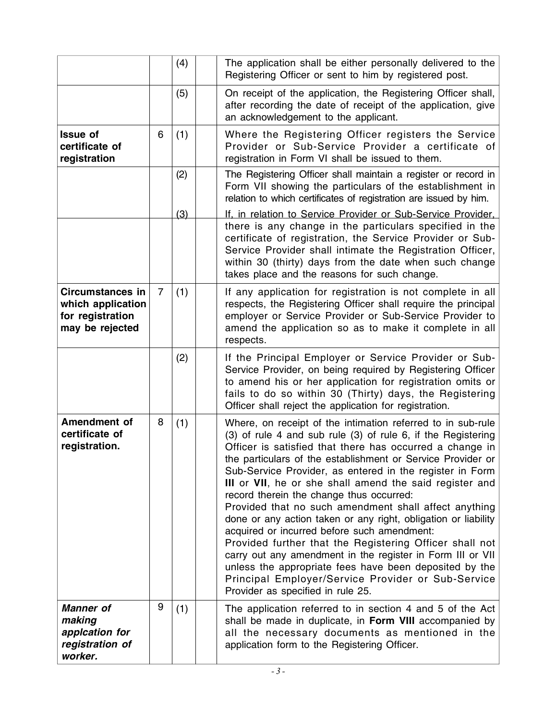|                                                                                     |                | (4) | The application shall be either personally delivered to the                                                                                                                                                                                                                                                                                                                                                                                                                                                                                                                                                                                                                                                                                                                                                                                                                       |
|-------------------------------------------------------------------------------------|----------------|-----|-----------------------------------------------------------------------------------------------------------------------------------------------------------------------------------------------------------------------------------------------------------------------------------------------------------------------------------------------------------------------------------------------------------------------------------------------------------------------------------------------------------------------------------------------------------------------------------------------------------------------------------------------------------------------------------------------------------------------------------------------------------------------------------------------------------------------------------------------------------------------------------|
|                                                                                     |                |     | Registering Officer or sent to him by registered post.                                                                                                                                                                                                                                                                                                                                                                                                                                                                                                                                                                                                                                                                                                                                                                                                                            |
|                                                                                     |                | (5) | On receipt of the application, the Registering Officer shall,<br>after recording the date of receipt of the application, give<br>an acknowledgement to the applicant.                                                                                                                                                                                                                                                                                                                                                                                                                                                                                                                                                                                                                                                                                                             |
| <b>Issue of</b><br>certificate of<br>registration                                   | 6              | (1) | Where the Registering Officer registers the Service<br>Provider or Sub-Service Provider a certificate of<br>registration in Form VI shall be issued to them.                                                                                                                                                                                                                                                                                                                                                                                                                                                                                                                                                                                                                                                                                                                      |
|                                                                                     |                | (2) | The Registering Officer shall maintain a register or record in<br>Form VII showing the particulars of the establishment in<br>relation to which certificates of registration are issued by him.                                                                                                                                                                                                                                                                                                                                                                                                                                                                                                                                                                                                                                                                                   |
|                                                                                     |                | (3) | If, in relation to Service Provider or Sub-Service Provider,                                                                                                                                                                                                                                                                                                                                                                                                                                                                                                                                                                                                                                                                                                                                                                                                                      |
|                                                                                     |                |     | there is any change in the particulars specified in the<br>certificate of registration, the Service Provider or Sub-<br>Service Provider shall intimate the Registration Officer,<br>within 30 (thirty) days from the date when such change<br>takes place and the reasons for such change.                                                                                                                                                                                                                                                                                                                                                                                                                                                                                                                                                                                       |
| <b>Circumstances in</b><br>which application<br>for registration<br>may be rejected | $\overline{7}$ | (1) | If any application for registration is not complete in all<br>respects, the Registering Officer shall require the principal<br>employer or Service Provider or Sub-Service Provider to<br>amend the application so as to make it complete in all<br>respects.                                                                                                                                                                                                                                                                                                                                                                                                                                                                                                                                                                                                                     |
|                                                                                     |                | (2) | If the Principal Employer or Service Provider or Sub-<br>Service Provider, on being required by Registering Officer<br>to amend his or her application for registration omits or<br>fails to do so within 30 (Thirty) days, the Registering<br>Officer shall reject the application for registration.                                                                                                                                                                                                                                                                                                                                                                                                                                                                                                                                                                             |
| Amendment of<br>certificate of<br>registration.                                     | 8              | (1) | Where, on receipt of the intimation referred to in sub-rule<br>(3) of rule 4 and sub rule (3) of rule 6, if the Registering<br>Officer is satisfied that there has occurred a change in<br>the particulars of the establishment or Service Provider or<br>Sub-Service Provider, as entered in the register in Form<br>III or VII, he or she shall amend the said register and<br>record therein the change thus occurred:<br>Provided that no such amendment shall affect anything<br>done or any action taken or any right, obligation or liability<br>acquired or incurred before such amendment:<br>Provided further that the Registering Officer shall not<br>carry out any amendment in the register in Form III or VII<br>unless the appropriate fees have been deposited by the<br>Principal Employer/Service Provider or Sub-Service<br>Provider as specified in rule 25. |
| <b>Manner</b> of<br>making<br>applcation for<br>registration of<br>worker.          | 9              | (1) | The application referred to in section 4 and 5 of the Act<br>shall be made in duplicate, in Form VIII accompanied by<br>all the necessary documents as mentioned in the<br>application form to the Registering Officer.                                                                                                                                                                                                                                                                                                                                                                                                                                                                                                                                                                                                                                                           |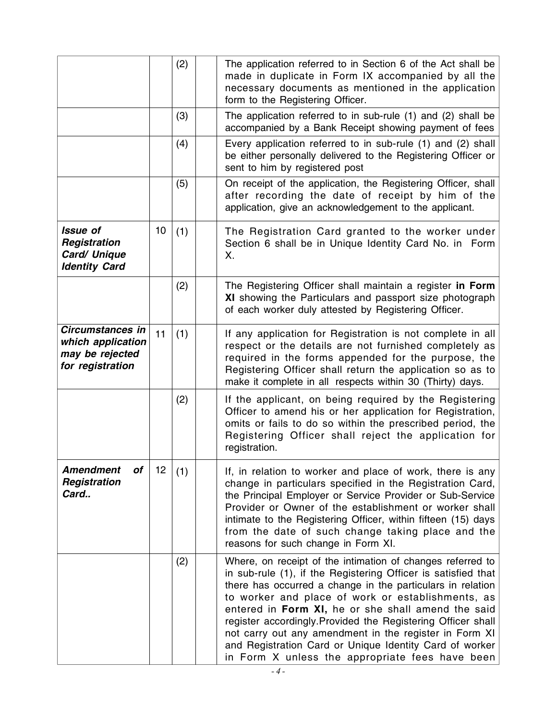|                                                                              |    | (2) | The application referred to in Section 6 of the Act shall be<br>made in duplicate in Form IX accompanied by all the<br>necessary documents as mentioned in the application<br>form to the Registering Officer.                                                                                                                                                                                                                                                                                                                               |
|------------------------------------------------------------------------------|----|-----|----------------------------------------------------------------------------------------------------------------------------------------------------------------------------------------------------------------------------------------------------------------------------------------------------------------------------------------------------------------------------------------------------------------------------------------------------------------------------------------------------------------------------------------------|
|                                                                              |    | (3) | The application referred to in sub-rule (1) and (2) shall be<br>accompanied by a Bank Receipt showing payment of fees                                                                                                                                                                                                                                                                                                                                                                                                                        |
|                                                                              |    | (4) | Every application referred to in sub-rule (1) and (2) shall<br>be either personally delivered to the Registering Officer or<br>sent to him by registered post                                                                                                                                                                                                                                                                                                                                                                                |
|                                                                              |    | (5) | On receipt of the application, the Registering Officer, shall<br>after recording the date of receipt by him of the<br>application, give an acknowledgement to the applicant.                                                                                                                                                                                                                                                                                                                                                                 |
| <b>Issue of</b><br>Registration<br>Card/ Unique<br><b>Identity Card</b>      | 10 | (1) | The Registration Card granted to the worker under<br>Section 6 shall be in Unique Identity Card No. in Form<br>Χ.                                                                                                                                                                                                                                                                                                                                                                                                                            |
|                                                                              |    | (2) | The Registering Officer shall maintain a register in Form<br>XI showing the Particulars and passport size photograph<br>of each worker duly attested by Registering Officer.                                                                                                                                                                                                                                                                                                                                                                 |
| Circumstances in<br>which application<br>may be rejected<br>for registration | 11 | (1) | If any application for Registration is not complete in all<br>respect or the details are not furnished completely as<br>required in the forms appended for the purpose, the<br>Registering Officer shall return the application so as to<br>make it complete in all respects within 30 (Thirty) days.                                                                                                                                                                                                                                        |
|                                                                              |    | (2) | If the applicant, on being required by the Registering<br>Officer to amend his or her application for Registration,<br>omits or fails to do so within the prescribed period, the<br>Registering Officer shall reject the application for<br>registration.                                                                                                                                                                                                                                                                                    |
| <b>Amendment</b><br>of<br>Registration<br>Card                               | 12 | (1) | If, in relation to worker and place of work, there is any<br>change in particulars specified in the Registration Card,<br>the Principal Employer or Service Provider or Sub-Service<br>Provider or Owner of the establishment or worker shall<br>intimate to the Registering Officer, within fifteen (15) days<br>from the date of such change taking place and the<br>reasons for such change in Form XI.                                                                                                                                   |
|                                                                              |    | (2) | Where, on receipt of the intimation of changes referred to<br>in sub-rule (1), if the Registering Officer is satisfied that<br>there has occurred a change in the particulars in relation<br>to worker and place of work or establishments, as<br>entered in Form XI, he or she shall amend the said<br>register accordingly. Provided the Registering Officer shall<br>not carry out any amendment in the register in Form XI<br>and Registration Card or Unique Identity Card of worker<br>in Form X unless the appropriate fees have been |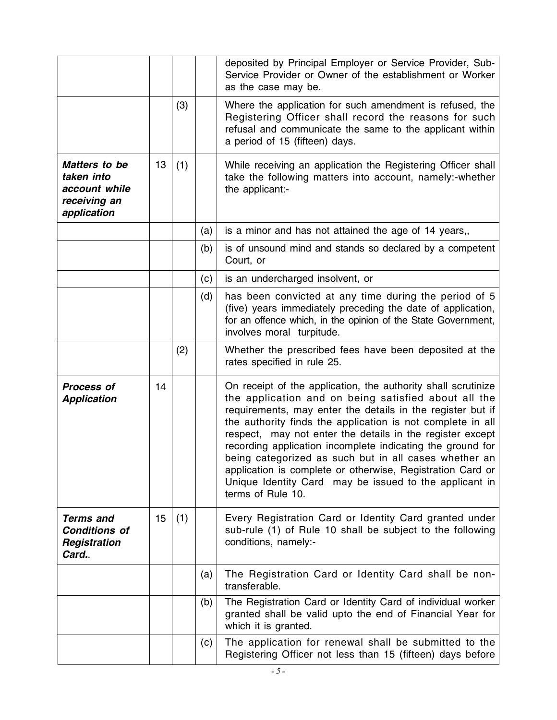|                                                                             |    |     |     | deposited by Principal Employer or Service Provider, Sub-<br>Service Provider or Owner of the establishment or Worker<br>as the case may be.                                                                                                                                                                                                                                                                                                                                                                                                                                       |
|-----------------------------------------------------------------------------|----|-----|-----|------------------------------------------------------------------------------------------------------------------------------------------------------------------------------------------------------------------------------------------------------------------------------------------------------------------------------------------------------------------------------------------------------------------------------------------------------------------------------------------------------------------------------------------------------------------------------------|
|                                                                             |    | (3) |     | Where the application for such amendment is refused, the<br>Registering Officer shall record the reasons for such<br>refusal and communicate the same to the applicant within<br>a period of 15 (fifteen) days.                                                                                                                                                                                                                                                                                                                                                                    |
| Matters to be<br>taken into<br>account while<br>receiving an<br>application | 13 | (1) |     | While receiving an application the Registering Officer shall<br>take the following matters into account, namely:-whether<br>the applicant:-                                                                                                                                                                                                                                                                                                                                                                                                                                        |
|                                                                             |    |     | (a) | is a minor and has not attained the age of 14 years,,                                                                                                                                                                                                                                                                                                                                                                                                                                                                                                                              |
|                                                                             |    |     | (b) | is of unsound mind and stands so declared by a competent<br>Court, or                                                                                                                                                                                                                                                                                                                                                                                                                                                                                                              |
|                                                                             |    |     | (c) | is an undercharged insolvent, or                                                                                                                                                                                                                                                                                                                                                                                                                                                                                                                                                   |
|                                                                             |    |     | (d) | has been convicted at any time during the period of 5<br>(five) years immediately preceding the date of application,<br>for an offence which, in the opinion of the State Government,<br>involves moral turpitude.                                                                                                                                                                                                                                                                                                                                                                 |
|                                                                             |    | (2) |     | Whether the prescribed fees have been deposited at the<br>rates specified in rule 25.                                                                                                                                                                                                                                                                                                                                                                                                                                                                                              |
| <b>Process of</b><br><b>Application</b>                                     | 14 |     |     | On receipt of the application, the authority shall scrutinize<br>the application and on being satisfied about all the<br>requirements, may enter the details in the register but if<br>the authority finds the application is not complete in all<br>respect, may not enter the details in the register except<br>recording application incomplete indicating the ground for<br>being categorized as such but in all cases whether an<br>application is complete or otherwise, Registration Card or<br>Unique Identity Card may be issued to the applicant in<br>terms of Rule 10. |
| <b>Terms and</b><br><b>Conditions of</b><br>Registration<br>Card            | 15 | (1) |     | Every Registration Card or Identity Card granted under<br>sub-rule (1) of Rule 10 shall be subject to the following<br>conditions, namely:-                                                                                                                                                                                                                                                                                                                                                                                                                                        |
|                                                                             |    |     | (a) | The Registration Card or Identity Card shall be non-<br>transferable.                                                                                                                                                                                                                                                                                                                                                                                                                                                                                                              |
|                                                                             |    |     | (b) | The Registration Card or Identity Card of individual worker<br>granted shall be valid upto the end of Financial Year for<br>which it is granted.                                                                                                                                                                                                                                                                                                                                                                                                                                   |
|                                                                             |    |     | (c) | The application for renewal shall be submitted to the<br>Registering Officer not less than 15 (fifteen) days before                                                                                                                                                                                                                                                                                                                                                                                                                                                                |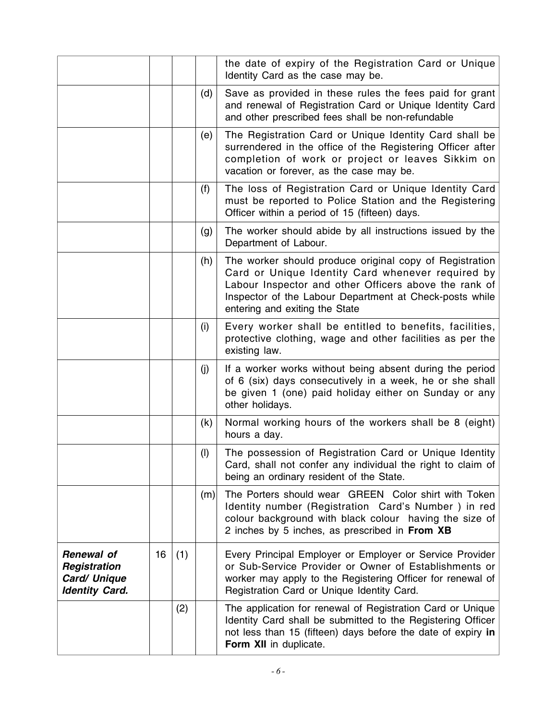|                                                                     |    |     |     | the date of expiry of the Registration Card or Unique<br>Identity Card as the case may be.                                                                                                                                                                         |
|---------------------------------------------------------------------|----|-----|-----|--------------------------------------------------------------------------------------------------------------------------------------------------------------------------------------------------------------------------------------------------------------------|
|                                                                     |    |     | (d) | Save as provided in these rules the fees paid for grant<br>and renewal of Registration Card or Unique Identity Card<br>and other prescribed fees shall be non-refundable                                                                                           |
|                                                                     |    |     | (e) | The Registration Card or Unique Identity Card shall be<br>surrendered in the office of the Registering Officer after<br>completion of work or project or leaves Sikkim on<br>vacation or forever, as the case may be.                                              |
|                                                                     |    |     | (f) | The loss of Registration Card or Unique Identity Card<br>must be reported to Police Station and the Registering<br>Officer within a period of 15 (fifteen) days.                                                                                                   |
|                                                                     |    |     | (g) | The worker should abide by all instructions issued by the<br>Department of Labour.                                                                                                                                                                                 |
|                                                                     |    |     | (h) | The worker should produce original copy of Registration<br>Card or Unique Identity Card whenever required by<br>Labour Inspector and other Officers above the rank of<br>Inspector of the Labour Department at Check-posts while<br>entering and exiting the State |
|                                                                     |    |     | (i) | Every worker shall be entitled to benefits, facilities,<br>protective clothing, wage and other facilities as per the<br>existing law.                                                                                                                              |
|                                                                     |    |     | (i) | If a worker works without being absent during the period<br>of 6 (six) days consecutively in a week, he or she shall<br>be given 1 (one) paid holiday either on Sunday or any<br>other holidays.                                                                   |
|                                                                     |    |     | (k) | Normal working hours of the workers shall be 8 (eight)<br>hours a day.                                                                                                                                                                                             |
|                                                                     |    |     | (1) | The possession of Registration Card or Unique Identity<br>Card, shall not confer any individual the right to claim of<br>being an ordinary resident of the State.                                                                                                  |
|                                                                     |    |     | (m) | The Porters should wear GREEN Color shirt with Token<br>Identity number (Registration Card's Number) in red<br>colour background with black colour having the size of<br>2 inches by 5 inches, as prescribed in From XB                                            |
| Renewal of<br>Registration<br>Card/ Unique<br><b>Identity Card.</b> | 16 | (1) |     | Every Principal Employer or Employer or Service Provider<br>or Sub-Service Provider or Owner of Establishments or<br>worker may apply to the Registering Officer for renewal of<br>Registration Card or Unique Identity Card.                                      |
|                                                                     |    | (2) |     | The application for renewal of Registration Card or Unique<br>Identity Card shall be submitted to the Registering Officer<br>not less than 15 (fifteen) days before the date of expiry in<br>Form XII in duplicate.                                                |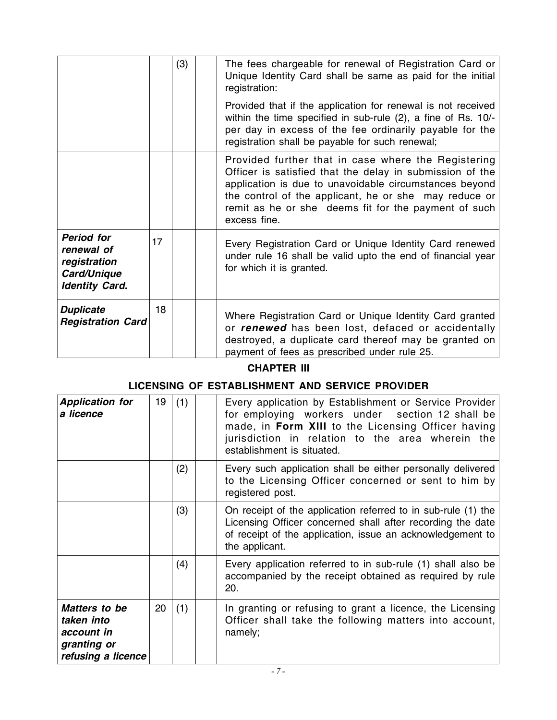|                                                                                         |    | (3) | The fees chargeable for renewal of Registration Card or<br>Unique Identity Card shall be same as paid for the initial<br>registration:                                                                                                                                                                     |
|-----------------------------------------------------------------------------------------|----|-----|------------------------------------------------------------------------------------------------------------------------------------------------------------------------------------------------------------------------------------------------------------------------------------------------------------|
|                                                                                         |    |     | Provided that if the application for renewal is not received<br>within the time specified in sub-rule (2), a fine of Rs. 10/-<br>per day in excess of the fee ordinarily payable for the<br>registration shall be payable for such renewal;                                                                |
|                                                                                         |    |     | Provided further that in case where the Registering<br>Officer is satisfied that the delay in submission of the<br>application is due to unavoidable circumstances beyond<br>the control of the applicant, he or she may reduce or<br>remit as he or she deems fit for the payment of such<br>excess fine. |
| <b>Period for</b><br>renewal of<br>registration<br>Card/Unique<br><b>Identity Card.</b> | 17 |     | Every Registration Card or Unique Identity Card renewed<br>under rule 16 shall be valid upto the end of financial year<br>for which it is granted.                                                                                                                                                         |
| <b>Duplicate</b><br><b>Registration Card</b>                                            | 18 |     | Where Registration Card or Unique Identity Card granted<br>or renewed has been lost, defaced or accidentally<br>destroyed, a duplicate card thereof may be granted on<br>payment of fees as prescribed under rule 25.                                                                                      |

# **CHAPTER III**

# **LICENSING OF ESTABLISHMENT AND SERVICE PROVIDER**

| <b>Application for</b><br>a licence                                            | 19 | (1) | Every application by Establishment or Service Provider<br>for employing workers under section 12 shall be<br>made, in Form XIII to the Licensing Officer having<br>jurisdiction in relation to the area wherein the<br>establishment is situated. |
|--------------------------------------------------------------------------------|----|-----|---------------------------------------------------------------------------------------------------------------------------------------------------------------------------------------------------------------------------------------------------|
|                                                                                |    | (2) | Every such application shall be either personally delivered<br>to the Licensing Officer concerned or sent to him by<br>registered post.                                                                                                           |
|                                                                                |    | (3) | On receipt of the application referred to in sub-rule (1) the<br>Licensing Officer concerned shall after recording the date<br>of receipt of the application, issue an acknowledgement to<br>the applicant.                                       |
|                                                                                |    | (4) | Every application referred to in sub-rule (1) shall also be<br>accompanied by the receipt obtained as required by rule<br>20.                                                                                                                     |
| Matters to be<br>taken into<br>account in<br>granting or<br>refusing a licence | 20 | (1) | In granting or refusing to grant a licence, the Licensing<br>Officer shall take the following matters into account,<br>namely;                                                                                                                    |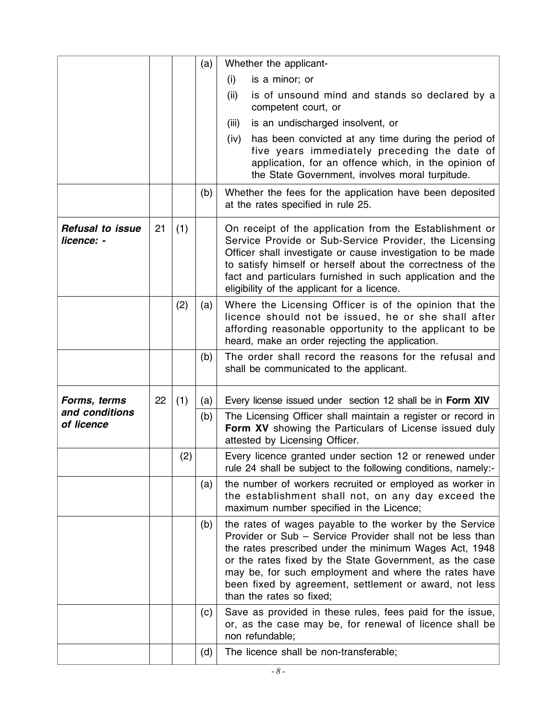|                                       |    |     | (a) | Whether the applicant-                                                                                                                                                                                                                                                                                                                                                                  |
|---------------------------------------|----|-----|-----|-----------------------------------------------------------------------------------------------------------------------------------------------------------------------------------------------------------------------------------------------------------------------------------------------------------------------------------------------------------------------------------------|
|                                       |    |     |     | is a minor; or<br>(i)                                                                                                                                                                                                                                                                                                                                                                   |
|                                       |    |     |     | (ii)<br>is of unsound mind and stands so declared by a<br>competent court, or                                                                                                                                                                                                                                                                                                           |
|                                       |    |     |     | is an undischarged insolvent, or<br>(iii)                                                                                                                                                                                                                                                                                                                                               |
|                                       |    |     |     | has been convicted at any time during the period of<br>(iv)<br>five years immediately preceding the date of<br>application, for an offence which, in the opinion of<br>the State Government, involves moral turpitude.                                                                                                                                                                  |
|                                       |    |     | (b) | Whether the fees for the application have been deposited<br>at the rates specified in rule 25.                                                                                                                                                                                                                                                                                          |
| <b>Refusal to issue</b><br>licence: - | 21 | (1) |     | On receipt of the application from the Establishment or<br>Service Provide or Sub-Service Provider, the Licensing<br>Officer shall investigate or cause investigation to be made<br>to satisfy himself or herself about the correctness of the<br>fact and particulars furnished in such application and the<br>eligibility of the applicant for a licence.                             |
|                                       |    | (2) | (a) | Where the Licensing Officer is of the opinion that the<br>licence should not be issued, he or she shall after<br>affording reasonable opportunity to the applicant to be<br>heard, make an order rejecting the application.                                                                                                                                                             |
|                                       |    |     | (b) | The order shall record the reasons for the refusal and<br>shall be communicated to the applicant.                                                                                                                                                                                                                                                                                       |
| Forms, terms                          | 22 | (1) | (a) | Every license issued under section 12 shall be in Form XIV                                                                                                                                                                                                                                                                                                                              |
| and conditions<br>of licence          |    |     | (b) | The Licensing Officer shall maintain a register or record in<br>Form XV showing the Particulars of License issued duly<br>attested by Licensing Officer.                                                                                                                                                                                                                                |
|                                       |    | (2) |     | Every licence granted under section 12 or renewed under<br>rule 24 shall be subject to the following conditions, namely:-                                                                                                                                                                                                                                                               |
|                                       |    |     | (a) | the number of workers recruited or employed as worker in<br>the establishment shall not, on any day exceed the<br>maximum number specified in the Licence;                                                                                                                                                                                                                              |
|                                       |    |     | (b) | the rates of wages payable to the worker by the Service<br>Provider or Sub - Service Provider shall not be less than<br>the rates prescribed under the minimum Wages Act, 1948<br>or the rates fixed by the State Government, as the case<br>may be, for such employment and where the rates have<br>been fixed by agreement, settlement or award, not less<br>than the rates so fixed; |
|                                       |    |     | (c) | Save as provided in these rules, fees paid for the issue,<br>or, as the case may be, for renewal of licence shall be<br>non refundable;                                                                                                                                                                                                                                                 |
|                                       |    |     |     |                                                                                                                                                                                                                                                                                                                                                                                         |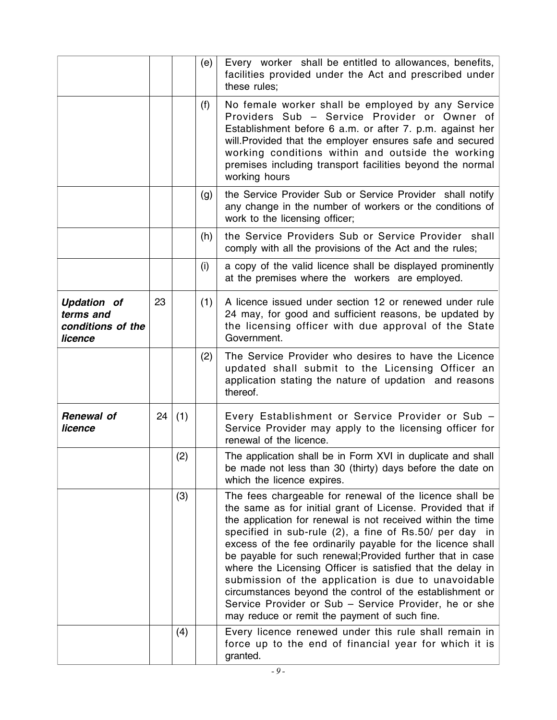|                                                                 |    |     | (e) | Every worker shall be entitled to allowances, benefits,<br>facilities provided under the Act and prescribed under<br>these rules;                                                                                                                                                                                                                                                                                                                                                                                                                                                                                                                                     |
|-----------------------------------------------------------------|----|-----|-----|-----------------------------------------------------------------------------------------------------------------------------------------------------------------------------------------------------------------------------------------------------------------------------------------------------------------------------------------------------------------------------------------------------------------------------------------------------------------------------------------------------------------------------------------------------------------------------------------------------------------------------------------------------------------------|
|                                                                 |    |     | (f) | No female worker shall be employed by any Service<br>Providers Sub - Service Provider or Owner of<br>Establishment before 6 a.m. or after 7. p.m. against her<br>will. Provided that the employer ensures safe and secured<br>working conditions within and outside the working<br>premises including transport facilities beyond the normal<br>working hours                                                                                                                                                                                                                                                                                                         |
|                                                                 |    |     | (g) | the Service Provider Sub or Service Provider shall notify<br>any change in the number of workers or the conditions of<br>work to the licensing officer;                                                                                                                                                                                                                                                                                                                                                                                                                                                                                                               |
|                                                                 |    |     | (h) | the Service Providers Sub or Service Provider shall<br>comply with all the provisions of the Act and the rules;                                                                                                                                                                                                                                                                                                                                                                                                                                                                                                                                                       |
|                                                                 |    |     | (i) | a copy of the valid licence shall be displayed prominently<br>at the premises where the workers are employed.                                                                                                                                                                                                                                                                                                                                                                                                                                                                                                                                                         |
| <b>Updation of</b><br>terms and<br>conditions of the<br>licence | 23 |     | (1) | A licence issued under section 12 or renewed under rule<br>24 may, for good and sufficient reasons, be updated by<br>the licensing officer with due approval of the State<br>Government.                                                                                                                                                                                                                                                                                                                                                                                                                                                                              |
|                                                                 |    |     | (2) | The Service Provider who desires to have the Licence<br>updated shall submit to the Licensing Officer an<br>application stating the nature of updation and reasons<br>thereof.                                                                                                                                                                                                                                                                                                                                                                                                                                                                                        |
| <b>Renewal of</b><br>licence                                    | 24 | (1) |     | Every Establishment or Service Provider or Sub -<br>Service Provider may apply to the licensing officer for<br>renewal of the licence.                                                                                                                                                                                                                                                                                                                                                                                                                                                                                                                                |
|                                                                 |    | (2) |     | The application shall be in Form XVI in duplicate and shall<br>be made not less than 30 (thirty) days before the date on<br>which the licence expires.                                                                                                                                                                                                                                                                                                                                                                                                                                                                                                                |
|                                                                 |    | (3) |     | The fees chargeable for renewal of the licence shall be<br>the same as for initial grant of License. Provided that if<br>the application for renewal is not received within the time<br>specified in sub-rule (2), a fine of Rs.50/ per day in<br>excess of the fee ordinarily payable for the licence shall<br>be payable for such renewal; Provided further that in case<br>where the Licensing Officer is satisfied that the delay in<br>submission of the application is due to unavoidable<br>circumstances beyond the control of the establishment or<br>Service Provider or Sub - Service Provider, he or she<br>may reduce or remit the payment of such fine. |
|                                                                 |    | (4) |     | Every licence renewed under this rule shall remain in<br>force up to the end of financial year for which it is<br>granted.                                                                                                                                                                                                                                                                                                                                                                                                                                                                                                                                            |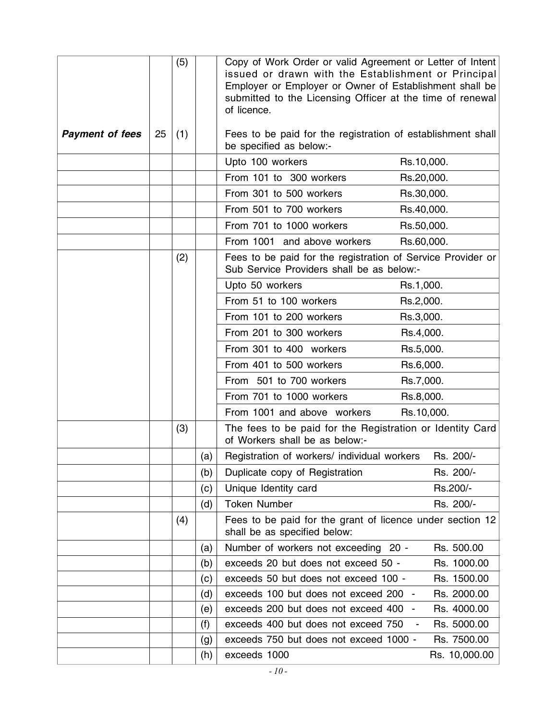|                        |    | (5) |     | Copy of Work Order or valid Agreement or Letter of Intent<br>issued or drawn with the Establishment or Principal<br>Employer or Employer or Owner of Establishment shall be<br>submitted to the Licensing Officer at the time of renewal<br>of licence. |                               |  |
|------------------------|----|-----|-----|---------------------------------------------------------------------------------------------------------------------------------------------------------------------------------------------------------------------------------------------------------|-------------------------------|--|
| <b>Payment of fees</b> | 25 | (1) |     | Fees to be paid for the registration of establishment shall<br>be specified as below:-                                                                                                                                                                  |                               |  |
|                        |    |     |     | Upto 100 workers                                                                                                                                                                                                                                        | Rs.10,000.                    |  |
|                        |    |     |     | From 101 to 300 workers                                                                                                                                                                                                                                 | Rs.20,000.                    |  |
|                        |    |     |     | From 301 to 500 workers                                                                                                                                                                                                                                 | Rs.30,000.                    |  |
|                        |    |     |     | From 501 to 700 workers                                                                                                                                                                                                                                 | Rs.40,000.                    |  |
|                        |    |     |     | From 701 to 1000 workers                                                                                                                                                                                                                                | Rs.50,000.                    |  |
|                        |    |     |     | From 1001 and above workers                                                                                                                                                                                                                             | Rs.60,000.                    |  |
|                        |    | (2) |     | Fees to be paid for the registration of Service Provider or<br>Sub Service Providers shall be as below:-                                                                                                                                                |                               |  |
|                        |    |     |     | Upto 50 workers                                                                                                                                                                                                                                         | Rs.1,000.                     |  |
|                        |    |     |     | From 51 to 100 workers                                                                                                                                                                                                                                  | Rs.2,000.                     |  |
|                        |    |     |     | From 101 to 200 workers                                                                                                                                                                                                                                 | Rs.3,000.                     |  |
|                        |    |     |     | From 201 to 300 workers                                                                                                                                                                                                                                 | Rs.4,000.                     |  |
|                        |    |     |     | From 301 to 400 workers                                                                                                                                                                                                                                 | Rs.5,000.                     |  |
|                        |    |     |     | From 401 to 500 workers                                                                                                                                                                                                                                 | Rs.6,000.                     |  |
|                        |    |     |     | From 501 to 700 workers                                                                                                                                                                                                                                 | Rs.7,000.                     |  |
|                        |    |     |     | From 701 to 1000 workers                                                                                                                                                                                                                                | Rs.8,000.                     |  |
|                        |    |     |     | From 1001 and above workers                                                                                                                                                                                                                             | Rs.10,000.                    |  |
|                        |    | (3) |     | The fees to be paid for the Registration or Identity Card<br>of Workers shall be as below:-                                                                                                                                                             |                               |  |
|                        |    |     | (a) | Registration of workers/ individual workers                                                                                                                                                                                                             | Rs. 200/-                     |  |
|                        |    |     | (b) | Duplicate copy of Registration                                                                                                                                                                                                                          | Rs. 200/-                     |  |
|                        |    |     | (c) | Unique Identity card                                                                                                                                                                                                                                    | Rs.200/-                      |  |
|                        |    |     | (d) | <b>Token Number</b>                                                                                                                                                                                                                                     | Rs. 200/-                     |  |
|                        |    | (4) |     | Fees to be paid for the grant of licence under section 12<br>shall be as specified below:                                                                                                                                                               |                               |  |
|                        |    |     | (a) | Number of workers not exceeding 20 -                                                                                                                                                                                                                    | Rs. 500.00                    |  |
|                        |    |     | (b) | exceeds 20 but does not exceed 50 -                                                                                                                                                                                                                     | Rs. 1000.00                   |  |
|                        |    |     | (c) | exceeds 50 but does not exceed 100 -                                                                                                                                                                                                                    | Rs. 1500.00                   |  |
|                        |    |     | (d) | exceeds 100 but does not exceed 200 -                                                                                                                                                                                                                   | Rs. 2000.00                   |  |
|                        |    |     | (e) | exceeds 200 but does not exceed 400<br>$\blacksquare$                                                                                                                                                                                                   | Rs. 4000.00                   |  |
|                        |    |     | (f) | exceeds 400 but does not exceed 750                                                                                                                                                                                                                     | Rs. 5000.00<br>$\blacksquare$ |  |
|                        |    |     | (g) | exceeds 750 but does not exceed 1000 -                                                                                                                                                                                                                  | Rs. 7500.00                   |  |
|                        |    |     | (h) | exceeds 1000                                                                                                                                                                                                                                            | Rs. 10,000.00                 |  |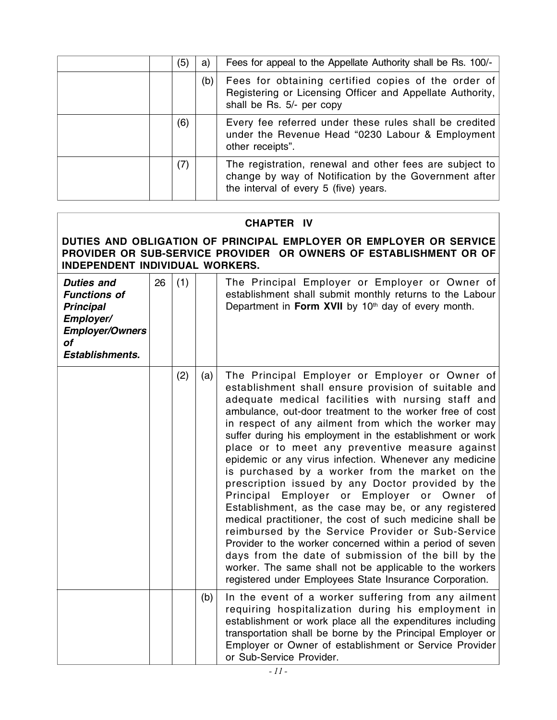| (5) | a)  | Fees for appeal to the Appellate Authority shall be Rs. 100/-                                                                                             |
|-----|-----|-----------------------------------------------------------------------------------------------------------------------------------------------------------|
|     | (b) | Fees for obtaining certified copies of the order of<br>Registering or Licensing Officer and Appellate Authority,<br>shall be Rs. 5/- per copy             |
| (6) |     | Every fee referred under these rules shall be credited<br>under the Revenue Head "0230 Labour & Employment<br>other receipts".                            |
| (7) |     | The registration, renewal and other fees are subject to<br>change by way of Notification by the Government after<br>the interval of every 5 (five) years. |

# **CHAPTER IV**

### **DUTIES AND OBLIGATION OF PRINCIPAL EMPLOYER OR EMPLOYER OR SERVICE PROVIDER OR SUB-SERVICE PROVIDER OR OWNERS OF ESTABLISHMENT OR OF INDEPENDENT INDIVIDUAL WORKERS.**

| <b>Duties and</b><br><b>Functions of</b><br><b>Principal</b><br>Employer/<br><b>Employer/Owners</b><br>οf<br><b>Establishments.</b> | 26 | (1) |     | The Principal Employer or Employer or Owner of<br>establishment shall submit monthly returns to the Labour<br>Department in Form XVII by 10 <sup>th</sup> day of every month.                                                                                                                                                                                                                                                                                                                                                                                                                                                                                                                                                                                                                                                                                                                                                                                                                                                            |
|-------------------------------------------------------------------------------------------------------------------------------------|----|-----|-----|------------------------------------------------------------------------------------------------------------------------------------------------------------------------------------------------------------------------------------------------------------------------------------------------------------------------------------------------------------------------------------------------------------------------------------------------------------------------------------------------------------------------------------------------------------------------------------------------------------------------------------------------------------------------------------------------------------------------------------------------------------------------------------------------------------------------------------------------------------------------------------------------------------------------------------------------------------------------------------------------------------------------------------------|
|                                                                                                                                     |    | (2) | (a) | The Principal Employer or Employer or Owner of<br>establishment shall ensure provision of suitable and<br>adequate medical facilities with nursing staff and<br>ambulance, out-door treatment to the worker free of cost<br>in respect of any ailment from which the worker may<br>suffer during his employment in the establishment or work<br>place or to meet any preventive measure against<br>epidemic or any virus infection. Whenever any medicine<br>is purchased by a worker from the market on the<br>prescription issued by any Doctor provided by the<br>Principal<br>Employer or<br>Employer or Owner of<br>Establishment, as the case may be, or any registered<br>medical practitioner, the cost of such medicine shall be<br>reimbursed by the Service Provider or Sub-Service<br>Provider to the worker concerned within a period of seven<br>days from the date of submission of the bill by the<br>worker. The same shall not be applicable to the workers<br>registered under Employees State Insurance Corporation. |
|                                                                                                                                     |    |     | (b) | In the event of a worker suffering from any ailment<br>requiring hospitalization during his employment in<br>establishment or work place all the expenditures including<br>transportation shall be borne by the Principal Employer or<br>Employer or Owner of establishment or Service Provider<br>or Sub-Service Provider.                                                                                                                                                                                                                                                                                                                                                                                                                                                                                                                                                                                                                                                                                                              |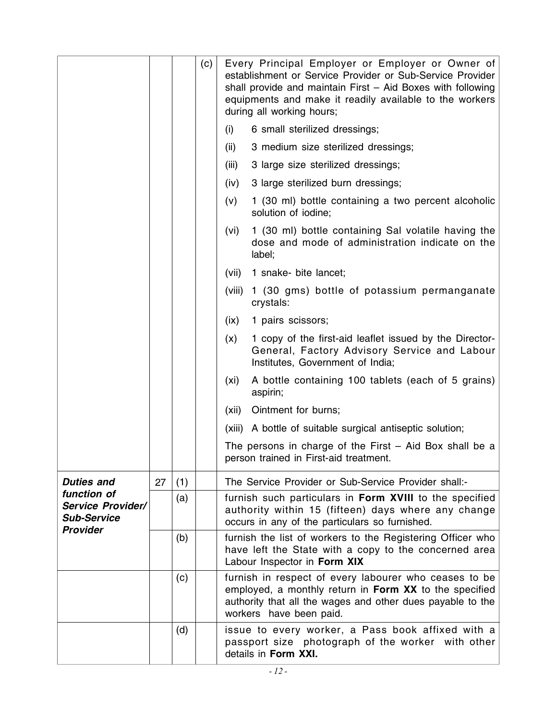|                                                                                  |    |     | (c) | Every Principal Employer or Employer or Owner of<br>establishment or Service Provider or Sub-Service Provider<br>shall provide and maintain First - Aid Boxes with following<br>equipments and make it readily available to the workers<br>during all working hours; |  |  |  |
|----------------------------------------------------------------------------------|----|-----|-----|----------------------------------------------------------------------------------------------------------------------------------------------------------------------------------------------------------------------------------------------------------------------|--|--|--|
|                                                                                  |    |     |     | 6 small sterilized dressings;<br>(i)                                                                                                                                                                                                                                 |  |  |  |
|                                                                                  |    |     |     | 3 medium size sterilized dressings;<br>(ii)                                                                                                                                                                                                                          |  |  |  |
|                                                                                  |    |     |     | (iii)<br>3 large size sterilized dressings;                                                                                                                                                                                                                          |  |  |  |
|                                                                                  |    |     |     | 3 large sterilized burn dressings;<br>(iv)                                                                                                                                                                                                                           |  |  |  |
|                                                                                  |    |     |     | 1 (30 ml) bottle containing a two percent alcoholic<br>(v)<br>solution of iodine;                                                                                                                                                                                    |  |  |  |
|                                                                                  |    |     |     | 1 (30 ml) bottle containing Sal volatile having the<br>(vi)<br>dose and mode of administration indicate on the<br>label;                                                                                                                                             |  |  |  |
|                                                                                  |    |     |     | (vii)<br>1 snake- bite lancet;                                                                                                                                                                                                                                       |  |  |  |
|                                                                                  |    |     |     | (viii)<br>1 (30 gms) bottle of potassium permanganate<br>crystals:                                                                                                                                                                                                   |  |  |  |
|                                                                                  |    |     |     | (ix)<br>1 pairs scissors;                                                                                                                                                                                                                                            |  |  |  |
|                                                                                  |    |     |     | 1 copy of the first-aid leaflet issued by the Director-<br>(x)<br>General, Factory Advisory Service and Labour<br>Institutes, Government of India;                                                                                                                   |  |  |  |
|                                                                                  |    |     |     | A bottle containing 100 tablets (each of 5 grains)<br>(xi)<br>aspirin;                                                                                                                                                                                               |  |  |  |
|                                                                                  |    |     |     | Ointment for burns;<br>(xii)                                                                                                                                                                                                                                         |  |  |  |
|                                                                                  |    |     |     | (xiii) A bottle of suitable surgical antiseptic solution;                                                                                                                                                                                                            |  |  |  |
|                                                                                  |    |     |     | The persons in charge of the First $-$ Aid Box shall be a<br>person trained in First-aid treatment.                                                                                                                                                                  |  |  |  |
| <b>Duties and</b>                                                                | 27 | (1) |     | The Service Provider or Sub-Service Provider shall:-                                                                                                                                                                                                                 |  |  |  |
| function of<br><b>Service Provider/</b><br><b>Sub-Service</b><br><b>Provider</b> |    | (a) |     | furnish such particulars in Form XVIII to the specified<br>authority within 15 (fifteen) days where any change<br>occurs in any of the particulars so furnished.                                                                                                     |  |  |  |
|                                                                                  |    | (b) |     | furnish the list of workers to the Registering Officer who<br>have left the State with a copy to the concerned area<br>Labour Inspector in Form XIX                                                                                                                  |  |  |  |
|                                                                                  |    | (c) |     | furnish in respect of every labourer who ceases to be<br>employed, a monthly return in Form XX to the specified<br>authority that all the wages and other dues payable to the<br>workers have been paid.                                                             |  |  |  |
|                                                                                  |    | (d) |     | issue to every worker, a Pass book affixed with a<br>passport size photograph of the worker with other<br>details in Form XXI.                                                                                                                                       |  |  |  |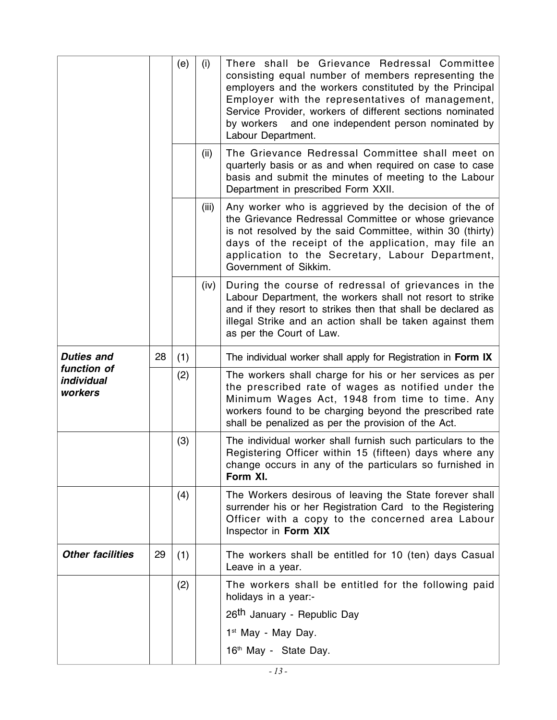|                                      |    | (e)                                     | (i)   | There shall be Grievance Redressal Committee<br>consisting equal number of members representing the<br>employers and the workers constituted by the Principal<br>Employer with the representatives of management,<br>Service Provider, workers of different sections nominated<br>and one independent person nominated by<br>by workers<br>Labour Department. |
|--------------------------------------|----|-----------------------------------------|-------|---------------------------------------------------------------------------------------------------------------------------------------------------------------------------------------------------------------------------------------------------------------------------------------------------------------------------------------------------------------|
|                                      |    |                                         | (ii)  | The Grievance Redressal Committee shall meet on<br>quarterly basis or as and when required on case to case<br>basis and submit the minutes of meeting to the Labour<br>Department in prescribed Form XXII.                                                                                                                                                    |
|                                      |    |                                         | (iii) | Any worker who is aggrieved by the decision of the of<br>the Grievance Redressal Committee or whose grievance<br>is not resolved by the said Committee, within 30 (thirty)<br>days of the receipt of the application, may file an<br>application to the Secretary, Labour Department,<br>Government of Sikkim.                                                |
|                                      |    |                                         | (iv)  | During the course of redressal of grievances in the<br>Labour Department, the workers shall not resort to strike<br>and if they resort to strikes then that shall be declared as<br>illegal Strike and an action shall be taken against them<br>as per the Court of Law.                                                                                      |
| <b>Duties and</b>                    | 28 | (1)                                     |       | The individual worker shall apply for Registration in Form IX                                                                                                                                                                                                                                                                                                 |
| function of<br>individual<br>workers |    | (2)                                     |       | The workers shall charge for his or her services as per<br>the prescribed rate of wages as notified under the<br>Minimum Wages Act, 1948 from time to time. Any<br>workers found to be charging beyond the prescribed rate<br>shall be penalized as per the provision of the Act.                                                                             |
|                                      |    | (3)                                     |       | The individual worker shall furnish such particulars to the<br>Registering Officer within 15 (fifteen) days where any<br>change occurs in any of the particulars so furnished in<br>Form XI.                                                                                                                                                                  |
|                                      |    | (4)                                     |       | The Workers desirous of leaving the State forever shall<br>surrender his or her Registration Card to the Registering<br>Officer with a copy to the concerned area Labour<br>Inspector in Form XIX                                                                                                                                                             |
| <b>Other facilities</b>              | 29 | (1)                                     |       | The workers shall be entitled for 10 (ten) days Casual<br>Leave in a year.                                                                                                                                                                                                                                                                                    |
|                                      |    | (2)                                     |       | The workers shall be entitled for the following paid<br>holidays in a year:-                                                                                                                                                                                                                                                                                  |
|                                      |    | 26 <sup>th</sup> January - Republic Day |       |                                                                                                                                                                                                                                                                                                                                                               |
|                                      |    |                                         |       | 1 <sup>st</sup> May - May Day.                                                                                                                                                                                                                                                                                                                                |
|                                      |    |                                         |       | 16 <sup>th</sup> May - State Day.                                                                                                                                                                                                                                                                                                                             |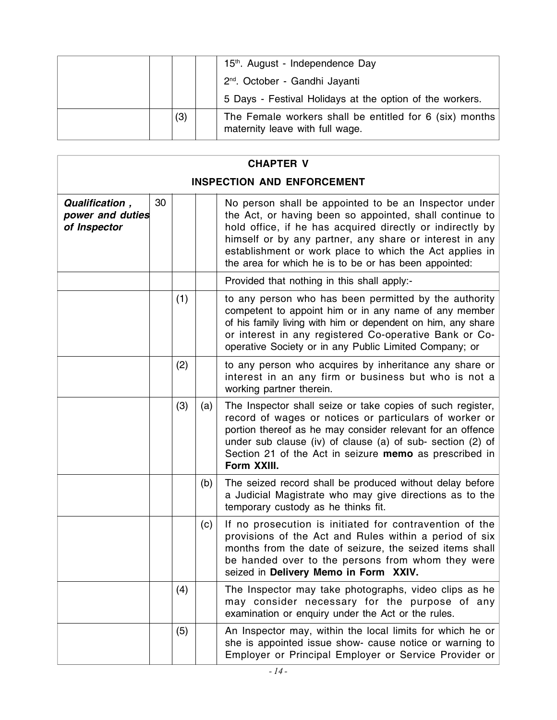|  |     | 15th. August - Independence Day                                                            |
|--|-----|--------------------------------------------------------------------------------------------|
|  |     | 2 <sup>nd</sup> . October - Gandhi Jayanti                                                 |
|  |     | 5 Days - Festival Holidays at the option of the workers.                                   |
|  | (3) | The Female workers shall be entitled for 6 (six) months<br>maternity leave with full wage. |

| <b>CHAPTER V</b>                                                                                                                                                                                                                                                                                                                                                                                                         |  |     |     |                                                                                                                                                                                                                                                                                                                           |
|--------------------------------------------------------------------------------------------------------------------------------------------------------------------------------------------------------------------------------------------------------------------------------------------------------------------------------------------------------------------------------------------------------------------------|--|-----|-----|---------------------------------------------------------------------------------------------------------------------------------------------------------------------------------------------------------------------------------------------------------------------------------------------------------------------------|
|                                                                                                                                                                                                                                                                                                                                                                                                                          |  |     |     | <b>INSPECTION AND ENFORCEMENT</b>                                                                                                                                                                                                                                                                                         |
| 30<br>Qualification,<br>No person shall be appointed to be an Inspector under<br>power and duties<br>the Act, or having been so appointed, shall continue to<br>of Inspector<br>hold office, if he has acquired directly or indirectly by<br>himself or by any partner, any share or interest in any<br>establishment or work place to which the Act applies in<br>the area for which he is to be or has been appointed: |  |     |     |                                                                                                                                                                                                                                                                                                                           |
|                                                                                                                                                                                                                                                                                                                                                                                                                          |  |     |     | Provided that nothing in this shall apply:-                                                                                                                                                                                                                                                                               |
|                                                                                                                                                                                                                                                                                                                                                                                                                          |  | (1) |     | to any person who has been permitted by the authority<br>competent to appoint him or in any name of any member<br>of his family living with him or dependent on him, any share<br>or interest in any registered Co-operative Bank or Co-<br>operative Society or in any Public Limited Company; or                        |
|                                                                                                                                                                                                                                                                                                                                                                                                                          |  | (2) |     | to any person who acquires by inheritance any share or<br>interest in an any firm or business but who is not a<br>working partner therein.                                                                                                                                                                                |
|                                                                                                                                                                                                                                                                                                                                                                                                                          |  | (3) | (a) | The Inspector shall seize or take copies of such register,<br>record of wages or notices or particulars of worker or<br>portion thereof as he may consider relevant for an offence<br>under sub clause (iv) of clause (a) of sub- section (2) of<br>Section 21 of the Act in seizure memo as prescribed in<br>Form XXIII. |
|                                                                                                                                                                                                                                                                                                                                                                                                                          |  |     | (b) | The seized record shall be produced without delay before<br>a Judicial Magistrate who may give directions as to the<br>temporary custody as he thinks fit.                                                                                                                                                                |
|                                                                                                                                                                                                                                                                                                                                                                                                                          |  |     | (c) | If no prosecution is initiated for contravention of the<br>provisions of the Act and Rules within a period of six<br>months from the date of seizure, the seized items shall<br>be handed over to the persons from whom they were<br>seized in Delivery Memo in Form XXIV.                                                |
|                                                                                                                                                                                                                                                                                                                                                                                                                          |  | (4) |     | The Inspector may take photographs, video clips as he<br>may consider necessary for the purpose of any<br>examination or enquiry under the Act or the rules.                                                                                                                                                              |
|                                                                                                                                                                                                                                                                                                                                                                                                                          |  | (5) |     | An Inspector may, within the local limits for which he or<br>she is appointed issue show- cause notice or warning to<br>Employer or Principal Employer or Service Provider or                                                                                                                                             |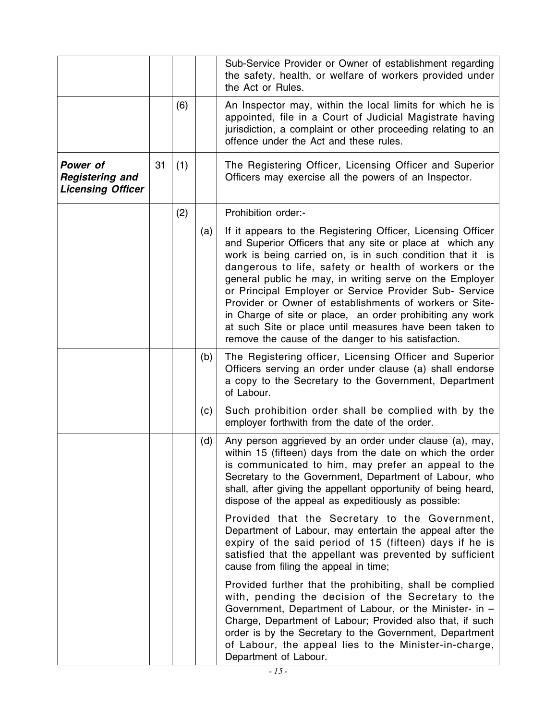|                                                                |    |     |     | Sub-Service Provider or Owner of establishment regarding<br>the safety, health, or welfare of workers provided under<br>the Act or Rules.                                                                                                                                                                                                                                                                                                                                                                                                                                                                     |
|----------------------------------------------------------------|----|-----|-----|---------------------------------------------------------------------------------------------------------------------------------------------------------------------------------------------------------------------------------------------------------------------------------------------------------------------------------------------------------------------------------------------------------------------------------------------------------------------------------------------------------------------------------------------------------------------------------------------------------------|
|                                                                |    | (6) |     | An Inspector may, within the local limits for which he is<br>appointed, file in a Court of Judicial Magistrate having<br>jurisdiction, a complaint or other proceeding relating to an<br>offence under the Act and these rules.                                                                                                                                                                                                                                                                                                                                                                               |
| Power of<br><b>Registering and</b><br><b>Licensing Officer</b> | 31 | (1) |     | The Registering Officer, Licensing Officer and Superior<br>Officers may exercise all the powers of an Inspector.                                                                                                                                                                                                                                                                                                                                                                                                                                                                                              |
|                                                                |    | (2) |     | Prohibition order:-                                                                                                                                                                                                                                                                                                                                                                                                                                                                                                                                                                                           |
|                                                                |    |     | (a) | If it appears to the Registering Officer, Licensing Officer<br>and Superior Officers that any site or place at which any<br>work is being carried on, is in such condition that it is<br>dangerous to life, safety or health of workers or the<br>general public he may, in writing serve on the Employer<br>or Principal Employer or Service Provider Sub- Service<br>Provider or Owner of establishments of workers or Site-<br>in Charge of site or place, an order prohibiting any work<br>at such Site or place until measures have been taken to<br>remove the cause of the danger to his satisfaction. |
|                                                                |    |     | (b) | The Registering officer, Licensing Officer and Superior<br>Officers serving an order under clause (a) shall endorse<br>a copy to the Secretary to the Government, Department<br>of Labour.                                                                                                                                                                                                                                                                                                                                                                                                                    |
|                                                                |    |     | (c) | Such prohibition order shall be complied with by the<br>employer forthwith from the date of the order.                                                                                                                                                                                                                                                                                                                                                                                                                                                                                                        |
|                                                                |    |     | (d) | Any person aggrieved by an order under clause (a), may,<br>within 15 (fifteen) days from the date on which the order<br>is communicated to him, may prefer an appeal to the<br>Secretary to the Government, Department of Labour, who<br>shall, after giving the appellant opportunity of being heard,<br>dispose of the appeal as expeditiously as possible:                                                                                                                                                                                                                                                 |
|                                                                |    |     |     | Provided that the Secretary to the Government,<br>Department of Labour, may entertain the appeal after the<br>expiry of the said period of 15 (fifteen) days if he is<br>satisfied that the appellant was prevented by sufficient<br>cause from filing the appeal in time;                                                                                                                                                                                                                                                                                                                                    |
|                                                                |    |     |     | Provided further that the prohibiting, shall be complied<br>with, pending the decision of the Secretary to the<br>Government, Department of Labour, or the Minister- in -<br>Charge, Department of Labour; Provided also that, if such<br>order is by the Secretary to the Government, Department<br>of Labour, the appeal lies to the Minister-in-charge,<br>Department of Labour.                                                                                                                                                                                                                           |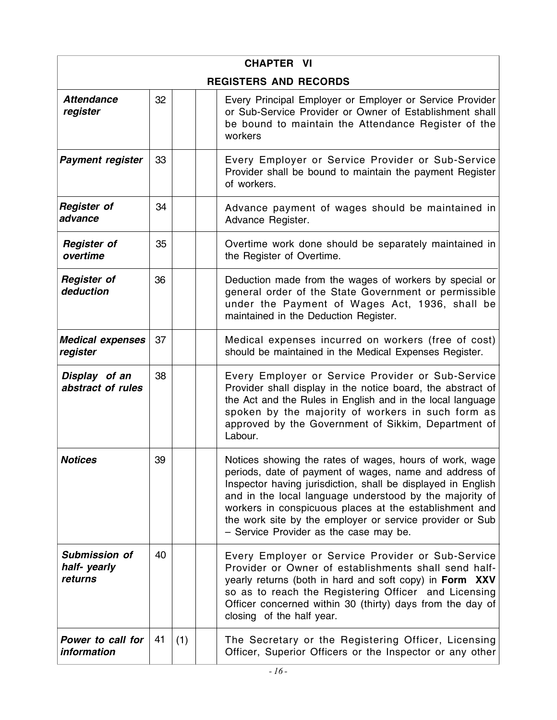| <b>CHAPTER VI</b>                              |    |     |  |                                                                                                                                                                                                                                                                                                                                                                                                              |  |  |  |
|------------------------------------------------|----|-----|--|--------------------------------------------------------------------------------------------------------------------------------------------------------------------------------------------------------------------------------------------------------------------------------------------------------------------------------------------------------------------------------------------------------------|--|--|--|
|                                                |    |     |  | <b>REGISTERS AND RECORDS</b>                                                                                                                                                                                                                                                                                                                                                                                 |  |  |  |
| <b>Attendance</b><br>register                  | 32 |     |  | Every Principal Employer or Employer or Service Provider<br>or Sub-Service Provider or Owner of Establishment shall<br>be bound to maintain the Attendance Register of the<br>workers                                                                                                                                                                                                                        |  |  |  |
| <b>Payment register</b>                        | 33 |     |  | Every Employer or Service Provider or Sub-Service<br>Provider shall be bound to maintain the payment Register<br>of workers.                                                                                                                                                                                                                                                                                 |  |  |  |
| <b>Register of</b><br>advance                  | 34 |     |  | Advance payment of wages should be maintained in<br>Advance Register.                                                                                                                                                                                                                                                                                                                                        |  |  |  |
| <b>Register of</b><br>overtime                 | 35 |     |  | Overtime work done should be separately maintained in<br>the Register of Overtime.                                                                                                                                                                                                                                                                                                                           |  |  |  |
| <b>Register of</b><br>deduction                | 36 |     |  | Deduction made from the wages of workers by special or<br>general order of the State Government or permissible<br>under the Payment of Wages Act, 1936, shall be<br>maintained in the Deduction Register.                                                                                                                                                                                                    |  |  |  |
| <b>Medical expenses</b><br>register            | 37 |     |  | Medical expenses incurred on workers (free of cost)<br>should be maintained in the Medical Expenses Register.                                                                                                                                                                                                                                                                                                |  |  |  |
| Display of an<br>abstract of rules             | 38 |     |  | Every Employer or Service Provider or Sub-Service<br>Provider shall display in the notice board, the abstract of<br>the Act and the Rules in English and in the local language<br>spoken by the majority of workers in such form as<br>approved by the Government of Sikkim, Department of<br>Labour.                                                                                                        |  |  |  |
| <b>Notices</b>                                 | 39 |     |  | Notices showing the rates of wages, hours of work, wage<br>periods, date of payment of wages, name and address of<br>Inspector having jurisdiction, shall be displayed in English<br>and in the local language understood by the majority of<br>workers in conspicuous places at the establishment and<br>the work site by the employer or service provider or Sub<br>- Service Provider as the case may be. |  |  |  |
| <b>Submission of</b><br>half-yearly<br>returns | 40 |     |  | Every Employer or Service Provider or Sub-Service<br>Provider or Owner of establishments shall send half-<br>yearly returns (both in hard and soft copy) in Form XXV<br>so as to reach the Registering Officer and Licensing<br>Officer concerned within 30 (thirty) days from the day of<br>closing of the half year.                                                                                       |  |  |  |
| Power to call for<br>information               | 41 | (1) |  | The Secretary or the Registering Officer, Licensing<br>Officer, Superior Officers or the Inspector or any other                                                                                                                                                                                                                                                                                              |  |  |  |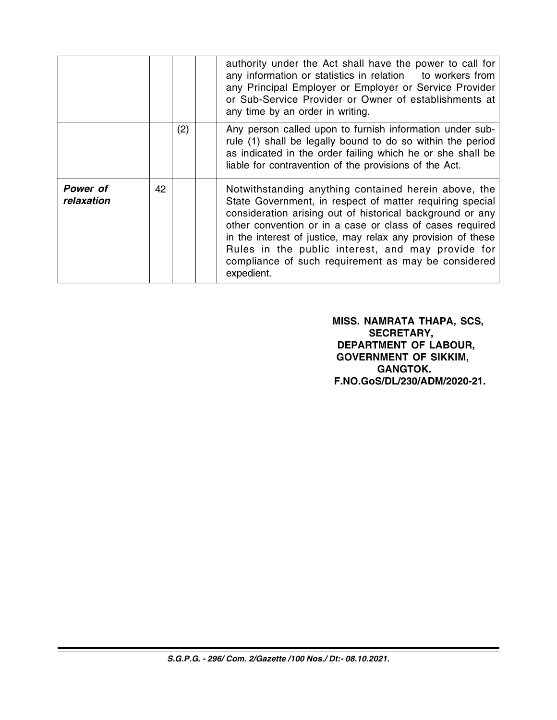|                        |    |     | authority under the Act shall have the power to call for<br>any information or statistics in relation to workers from<br>any Principal Employer or Employer or Service Provider<br>or Sub-Service Provider or Owner of establishments at<br>any time by an order in writing.                                                                                                                                                        |
|------------------------|----|-----|-------------------------------------------------------------------------------------------------------------------------------------------------------------------------------------------------------------------------------------------------------------------------------------------------------------------------------------------------------------------------------------------------------------------------------------|
|                        |    | (2) | Any person called upon to furnish information under sub-<br>rule (1) shall be legally bound to do so within the period<br>as indicated in the order failing which he or she shall be<br>liable for contravention of the provisions of the Act.                                                                                                                                                                                      |
| Power of<br>relaxation | 42 |     | Notwithstanding anything contained herein above, the<br>State Government, in respect of matter requiring special<br>consideration arising out of historical background or any<br>other convention or in a case or class of cases required<br>in the interest of justice, may relax any provision of these<br>Rules in the public interest, and may provide for<br>compliance of such requirement as may be considered<br>expedient. |

 **MISS. NAMRATA THAPA, SCS, SECRETARY, DEPARTMENT OF LABOUR, GOVERNMENT OF SIKKIM, GANGTOK. F.NO.GoS/DL/230/ADM/2020-21.**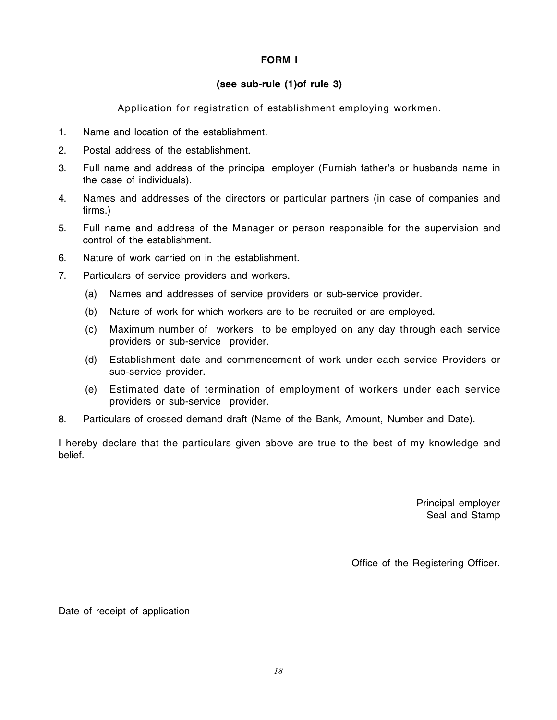# **FORM I**

## **(see sub-rule (1)of rule 3)**

Application for registration of establishment employing workmen.

- 1. Name and location of the establishment.
- 2. Postal address of the establishment.
- 3. Full name and address of the principal employer (Furnish father's or husbands name in the case of individuals).
- 4. Names and addresses of the directors or particular partners (in case of companies and firms.)
- 5. Full name and address of the Manager or person responsible for the supervision and control of the establishment.
- 6. Nature of work carried on in the establishment.
- 7. Particulars of service providers and workers.
	- (a) Names and addresses of service providers or sub-service provider.
	- (b) Nature of work for which workers are to be recruited or are employed.
	- (c) Maximum number of workers to be employed on any day through each service providers or sub-service provider.
	- (d) Establishment date and commencement of work under each service Providers or sub-service provider.
	- (e) Estimated date of termination of employment of workers under each service providers or sub-service provider.
- 8. Particulars of crossed demand draft (Name of the Bank, Amount, Number and Date).

I hereby declare that the particulars given above are true to the best of my knowledge and belief.

> Principal employer Seal and Stamp

Office of the Registering Officer.

Date of receipt of application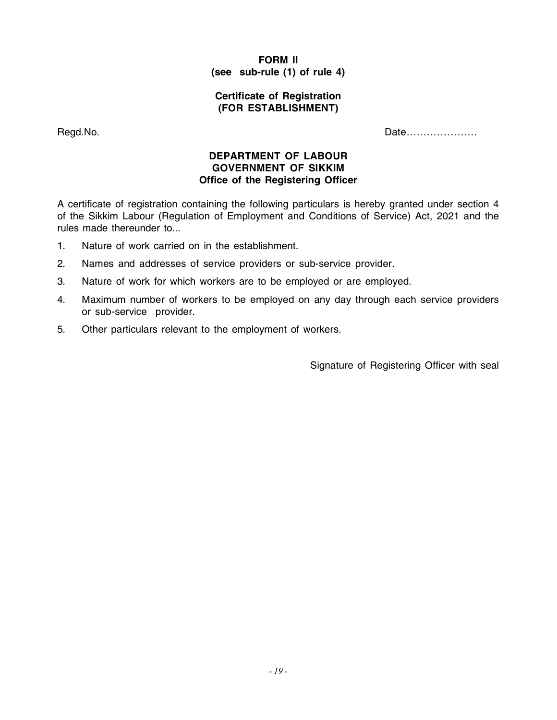# **FORM II (see sub-rule (1) of rule 4)**

#### **Certificate of Registration (FOR ESTABLISHMENT)**

Regd.No. **Date** Enter the Contract of the Contract of the Contract of the Date Contract of the Date Contract of the Date Contract of the Date Contract of the Contract of the Contract of the Contract of the Contract of the

#### **DEPARTMENT OF LABOUR GOVERNMENT OF SIKKIM Office of the Registering Officer**

A certificate of registration containing the following particulars is hereby granted under section 4 of the Sikkim Labour (Regulation of Employment and Conditions of Service) Act, 2021 and the rules made thereunder to...

- 1. Nature of work carried on in the establishment.
- 2. Names and addresses of service providers or sub-service provider.
- 3. Nature of work for which workers are to be employed or are employed.
- 4. Maximum number of workers to be employed on any day through each service providers or sub-service provider.
- 5. Other particulars relevant to the employment of workers.

Signature of Registering Officer with seal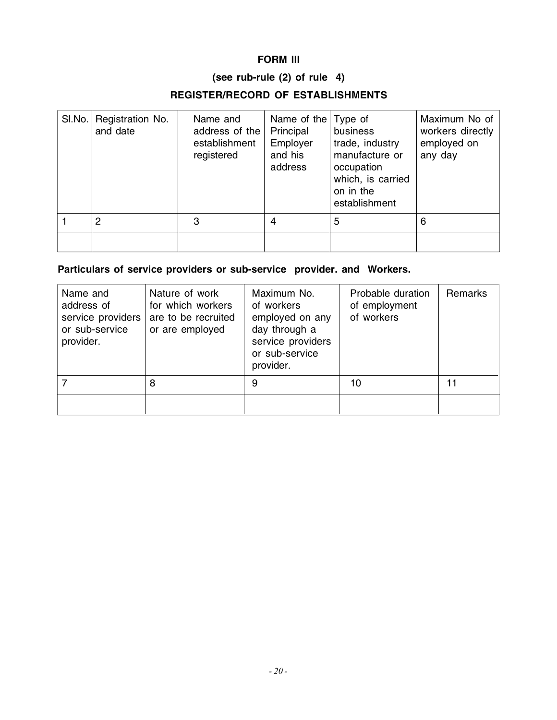# **FORM III**

# **(see rub-rule (2) of rule 4)**

# **REGISTER/RECORD OF ESTABLISHMENTS**

| SI.No. | Registration No.<br>and date | Name and<br>address of the<br>establishment<br>registered | Name of the<br>Principal<br>Employer<br>and his<br>address | Type of<br>business<br>trade, industry<br>manufacture or<br>occupation<br>which, is carried<br>on in the<br>establishment | Maximum No of<br>workers directly<br>employed on<br>any day |
|--------|------------------------------|-----------------------------------------------------------|------------------------------------------------------------|---------------------------------------------------------------------------------------------------------------------------|-------------------------------------------------------------|
|        | 2                            | 3                                                         | 4                                                          | 5                                                                                                                         | 6                                                           |
|        |                              |                                                           |                                                            |                                                                                                                           |                                                             |

# **Particulars of service providers or sub-service provider. and Workers.**

| Name and<br>address of<br>service providers<br>or sub-service<br>provider. | Nature of work<br>for which workers<br>are to be recruited<br>or are employed | Maximum No.<br>of workers<br>employed on any<br>day through a<br>service providers<br>or sub-service<br>provider. | Probable duration<br>of employment<br>of workers | <b>Remarks</b> |
|----------------------------------------------------------------------------|-------------------------------------------------------------------------------|-------------------------------------------------------------------------------------------------------------------|--------------------------------------------------|----------------|
|                                                                            | 8                                                                             | 9                                                                                                                 | 10                                               |                |
|                                                                            |                                                                               |                                                                                                                   |                                                  |                |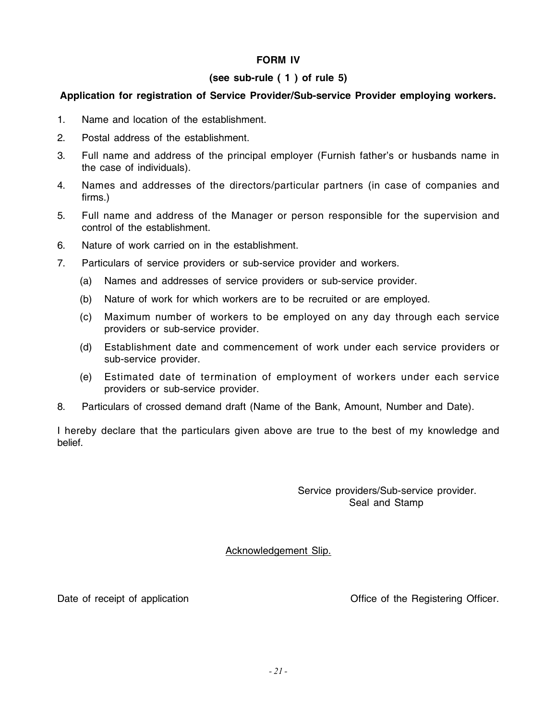# **FORM IV**

### **(see sub-rule ( 1 ) of rule 5)**

### **Application for registration of Service Provider/Sub-service Provider employing workers.**

- 1. Name and location of the establishment.
- 2. Postal address of the establishment.
- 3. Full name and address of the principal employer (Furnish father's or husbands name in the case of individuals).
- 4. Names and addresses of the directors/particular partners (in case of companies and firms.)
- 5. Full name and address of the Manager or person responsible for the supervision and control of the establishment.
- 6. Nature of work carried on in the establishment.
- 7. Particulars of service providers or sub-service provider and workers.
	- (a) Names and addresses of service providers or sub-service provider.
	- (b) Nature of work for which workers are to be recruited or are employed.
	- (c) Maximum number of workers to be employed on any day through each service providers or sub-service provider.
	- (d) Establishment date and commencement of work under each service providers or sub-service provider.
	- (e) Estimated date of termination of employment of workers under each service providers or sub-service provider.
- 8. Particulars of crossed demand draft (Name of the Bank, Amount, Number and Date).

I hereby declare that the particulars given above are true to the best of my knowledge and belief.

> Service providers/Sub-service provider. Seal and Stamp

Acknowledgement Slip.

Date of receipt of application **Date of the Registering Office** of the Registering Officer.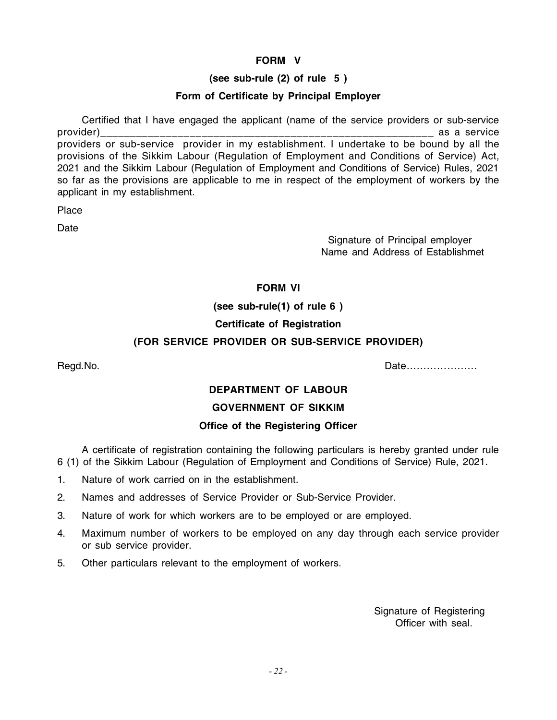## **FORM V**

# **(see sub-rule (2) of rule 5 )**

### **Form of Certificate by Principal Employer**

Certified that I have engaged the applicant (name of the service providers or sub-service provider) examples the service of the service service as a service as a service providers or sub-service provider in my establishment. I undertake to be bound by all the provisions of the Sikkim Labour (Regulation of Employment and Conditions of Service) Act, 2021 and the Sikkim Labour (Regulation of Employment and Conditions of Service) Rules, 2021 so far as the provisions are applicable to me in respect of the employment of workers by the applicant in my establishment.

**Place** 

Date

 Signature of Principal employer Name and Address of Establishmet

# **FORM VI**

**(see sub-rule(1) of rule 6 )**

#### **Certificate of Registration**

#### **(FOR SERVICE PROVIDER OR SUB-SERVICE PROVIDER)**

Regd.No. Date…………………

#### **DEPARTMENT OF LABOUR**

#### **GOVERNMENT OF SIKKIM**

#### **Office of the Registering Officer**

A certificate of registration containing the following particulars is hereby granted under rule 6 (1) of the Sikkim Labour (Regulation of Employment and Conditions of Service) Rule, 2021.

- 1. Nature of work carried on in the establishment.
- 2. Names and addresses of Service Provider or Sub-Service Provider.
- 3. Nature of work for which workers are to be employed or are employed.
- 4. Maximum number of workers to be employed on any day through each service provider or sub service provider.
- 5. Other particulars relevant to the employment of workers.

 Signature of Registering Officer with seal.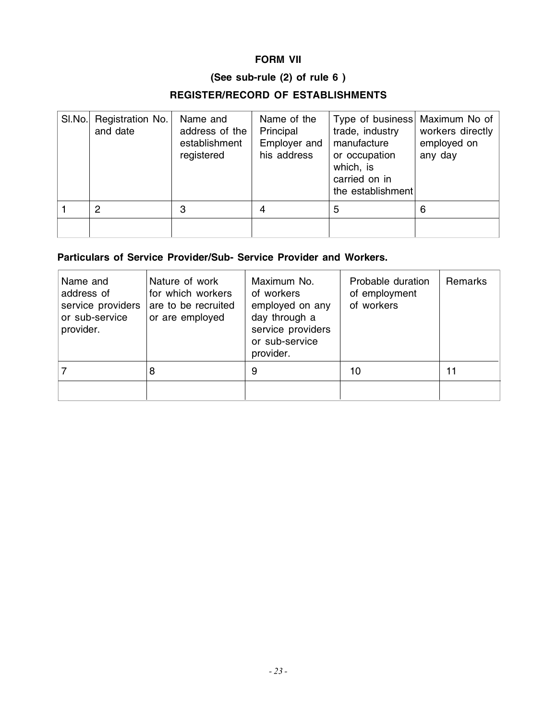# **FORM VII**

# **(See sub-rule (2) of rule 6 )**

# **REGISTER/RECORD OF ESTABLISHMENTS**

| SI.No. | Registration No.<br>and date | Name and<br>address of the<br>establishment<br>registered | Name of the<br>Principal<br>Employer and<br>his address | Type of business Maximum No of<br>trade, industry<br>manufacture<br>or occupation<br>which, is<br>carried on in<br>the establishment | workers directly<br>employed on<br>any day |
|--------|------------------------------|-----------------------------------------------------------|---------------------------------------------------------|--------------------------------------------------------------------------------------------------------------------------------------|--------------------------------------------|
|        | 2                            | 3                                                         | 4                                                       | 5                                                                                                                                    | 6                                          |
|        |                              |                                                           |                                                         |                                                                                                                                      |                                            |

# **Particulars of Service Provider/Sub- Service Provider and Workers.**

| Name and<br>address of<br>service providers<br>or sub-service<br>provider. | Nature of work<br>for which workers<br>are to be recruited<br>or are employed | Maximum No.<br>of workers<br>employed on any<br>day through a<br>service providers<br>or sub-service<br>provider. | Probable duration<br>of employment<br>of workers | <b>Remarks</b> |
|----------------------------------------------------------------------------|-------------------------------------------------------------------------------|-------------------------------------------------------------------------------------------------------------------|--------------------------------------------------|----------------|
|                                                                            | 8                                                                             | 9                                                                                                                 | 10                                               | 11             |
|                                                                            |                                                                               |                                                                                                                   |                                                  |                |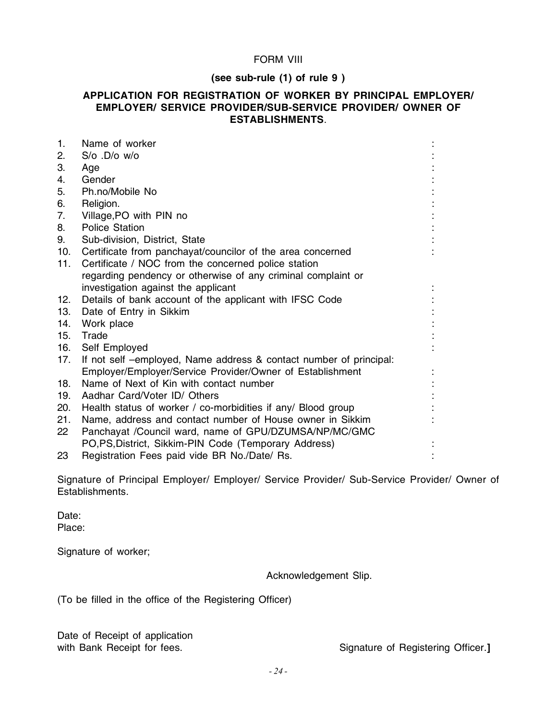#### FORM VIII

#### **(see sub-rule (1) of rule 9 )**

#### **APPLICATION FOR REGISTRATION OF WORKER BY PRINCIPAL EMPLOYER/ EMPLOYER/ SERVICE PROVIDER/SUB-SERVICE PROVIDER/ OWNER OF ESTABLISHMENTS**.

| 1.  | Name of worker                                                     |  |
|-----|--------------------------------------------------------------------|--|
| 2.  | $S$ /o $.D$ /o w/o                                                 |  |
| 3.  | Age                                                                |  |
| 4.  | Gender                                                             |  |
| 5.  | Ph.no/Mobile No                                                    |  |
| 6.  | Religion.                                                          |  |
| 7.  | Village, PO with PIN no                                            |  |
| 8.  | <b>Police Station</b>                                              |  |
| 9.  | Sub-division, District, State                                      |  |
| 10. | Certificate from panchayat/councilor of the area concerned         |  |
| 11. | Certificate / NOC from the concerned police station                |  |
|     | regarding pendency or otherwise of any criminal complaint or       |  |
|     | investigation against the applicant                                |  |
| 12. | Details of bank account of the applicant with IFSC Code            |  |
| 13. | Date of Entry in Sikkim                                            |  |
| 14. | Work place                                                         |  |
| 15. | Trade                                                              |  |
| 16. | Self Employed                                                      |  |
| 17. | If not self -employed, Name address & contact number of principal: |  |
|     | Employer/Employer/Service Provider/Owner of Establishment          |  |
| 18. | Name of Next of Kin with contact number                            |  |
| 19. | Aadhar Card/Voter ID/ Others                                       |  |
| 20. | Health status of worker / co-morbidities if any/ Blood group       |  |
| 21. | Name, address and contact number of House owner in Sikkim          |  |
| 22  | Panchayat /Council ward, name of GPU/DZUMSA/NP/MC/GMC              |  |
|     | PO, PS, District, Sikkim-PIN Code (Temporary Address)              |  |
| 23  | Registration Fees paid vide BR No./Date/ Rs.                       |  |

Signature of Principal Employer/ Employer/ Service Provider/ Sub-Service Provider/ Owner of Establishments.

Date: Place:

Signature of worker;

Acknowledgement Slip.

(To be filled in the office of the Registering Officer)

Date of Receipt of application

with Bank Receipt for fees. The state of Registering Officer.]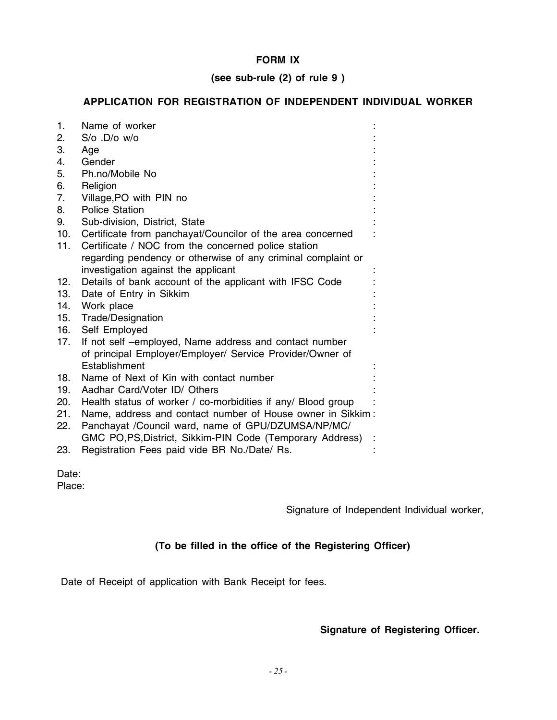# **FORM IX**

# **(see sub-rule (2) of rule 9 )**

# **APPLICATION FOR REGISTRATION OF INDEPENDENT INDIVIDUAL WORKER**

| 1.  | Name of worker                                               |  |
|-----|--------------------------------------------------------------|--|
| 2.  | $S$ /o $.D$ /o w/o                                           |  |
| 3.  | Age                                                          |  |
| 4.  | Gender                                                       |  |
| 5.  | Ph.no/Mobile No                                              |  |
| 6.  | Religion                                                     |  |
| 7.  | Village, PO with PIN no                                      |  |
| 8.  | <b>Police Station</b>                                        |  |
| 9.  | Sub-division, District, State                                |  |
| 10. | Certificate from panchayat/Councilor of the area concerned   |  |
| 11. | Certificate / NOC from the concerned police station          |  |
|     | regarding pendency or otherwise of any criminal complaint or |  |
|     | investigation against the applicant                          |  |
| 12. | Details of bank account of the applicant with IFSC Code      |  |
| 13. | Date of Entry in Sikkim                                      |  |
|     | 14. Work place                                               |  |
|     | 15. Trade/Designation                                        |  |
|     | 16. Self Employed                                            |  |
| 17. | If not self -employed, Name address and contact number       |  |
|     | of principal Employer/Employer/ Service Provider/Owner of    |  |
|     | Establishment                                                |  |
| 18. | Name of Next of Kin with contact number                      |  |
| 19. | Aadhar Card/Voter ID/ Others                                 |  |
| 20. | Health status of worker / co-morbidities if any/ Blood group |  |
| 21. | Name, address and contact number of House owner in Sikkim:   |  |
| 22. | Panchayat /Council ward, name of GPU/DZUMSA/NP/MC/           |  |
|     | GMC PO, PS, District, Sikkim-PIN Code (Temporary Address)    |  |
| 23. | Registration Fees paid vide BR No./Date/ Rs.                 |  |

Date:

Place:

Signature of Independent Individual worker,

# **(To be filled in the office of the Registering Officer)**

Date of Receipt of application with Bank Receipt for fees.

# **Signature of Registering Officer.**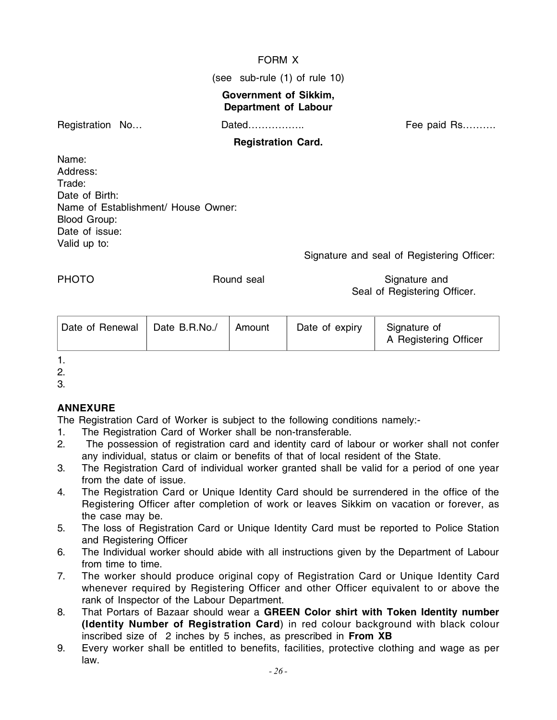# FORM X

(see sub-rule (1) of rule 10)

# **Government of Sikkim, Department of Labour**

Registration No… **Dated……………..** Fee paid Rs………

# **Registration Card.**

Name: Address: Trade: Date of Birth: Name of Establishment/ House Owner: Blood Group: Date of issue: Valid up to:

Signature and seal of Registering Officer:

PHOTO **Round seal Signature and Signature and Signature and Signature and Signature and Signature and Signature and Signature and Signature and Signature and Signature and Signature and Signature and Signature and Signatur** Seal of Registering Officer.

| Date of Renewal | Date B.R.No./ | Amount | Date of expiry | Signature of<br>A Registering Officer |
|-----------------|---------------|--------|----------------|---------------------------------------|
|-----------------|---------------|--------|----------------|---------------------------------------|

1.

2.

3.

# **ANNEXURE**

The Registration Card of Worker is subject to the following conditions namely:-

- 1. The Registration Card of Worker shall be non-transferable.
- 2. The possession of registration card and identity card of labour or worker shall not confer any individual, status or claim or benefits of that of local resident of the State.
- 3. The Registration Card of individual worker granted shall be valid for a period of one year from the date of issue.
- 4. The Registration Card or Unique Identity Card should be surrendered in the office of the Registering Officer after completion of work or leaves Sikkim on vacation or forever, as the case may be.
- 5. The loss of Registration Card or Unique Identity Card must be reported to Police Station and Registering Officer
- 6. The Individual worker should abide with all instructions given by the Department of Labour from time to time.
- 7. The worker should produce original copy of Registration Card or Unique Identity Card whenever required by Registering Officer and other Officer equivalent to or above the rank of Inspector of the Labour Department.
- 8. That Portars of Bazaar should wear a **GREEN Color shirt with Token Identity number (Identity Number of Registration Card**) in red colour background with black colour inscribed size of 2 inches by 5 inches, as prescribed in **From XB**
- 9. Every worker shall be entitled to benefits, facilities, protective clothing and wage as per law.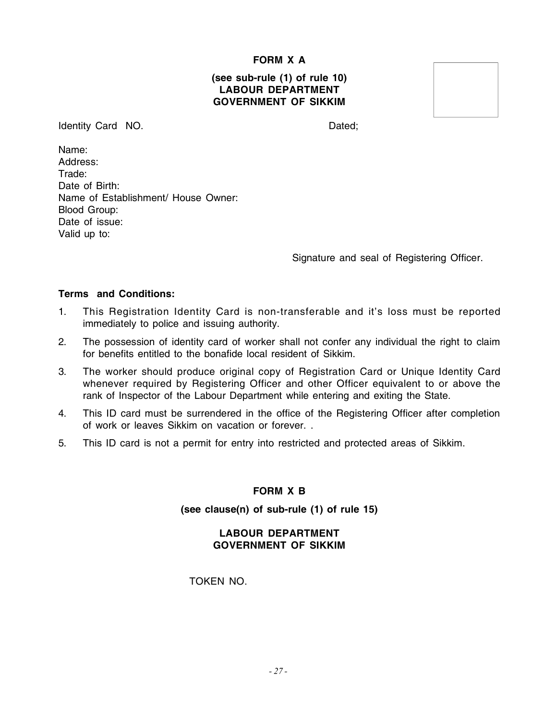#### **FORM X A**

#### **(see sub-rule (1) of rule 10) LABOUR DEPARTMENT GOVERNMENT OF SIKKIM**

Identity Card NO. Dated;

Name: Address: Trade: Date of Birth: Name of Establishment/ House Owner: Blood Group: Date of issue: Valid up to:

Signature and seal of Registering Officer.

#### **Terms and Conditions:**

- 1. This Registration Identity Card is non-transferable and it's loss must be reported immediately to police and issuing authority.
- 2. The possession of identity card of worker shall not confer any individual the right to claim for benefits entitled to the bonafide local resident of Sikkim.
- 3. The worker should produce original copy of Registration Card or Unique Identity Card whenever required by Registering Officer and other Officer equivalent to or above the rank of Inspector of the Labour Department while entering and exiting the State.
- 4. This ID card must be surrendered in the office of the Registering Officer after completion of work or leaves Sikkim on vacation or forever. .
- 5. This ID card is not a permit for entry into restricted and protected areas of Sikkim.

#### **FORM X B**

#### **(see clause(n) of sub-rule (1) of rule 15)**

#### **LABOUR DEPARTMENT GOVERNMENT OF SIKKIM**

TOKEN NO.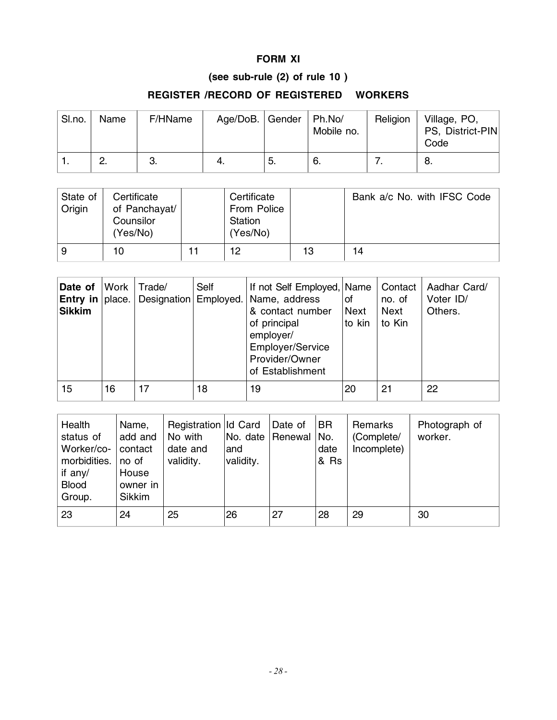# **FORM XI**

# **(see sub-rule (2) of rule 10 )**

# **REGISTER /RECORD OF REGISTERED WORKERS**

| SI.no. | Name     | F/HName | Age/DoB.   Gender |     | Ph.No/<br>Mobile no. | Religion | Village, PO,<br>PS, District-PIN<br>Code |
|--------|----------|---------|-------------------|-----|----------------------|----------|------------------------------------------|
|        | <u>n</u> | υ.      |                   | -5. | -6.                  |          | 8.                                       |

| State of<br>Origin | Certificate<br>of Panchayat/<br>Counsilor<br>(Yes/No) |  | Certificate<br>From Police<br><b>Station</b><br>(Yes/No) |    | Bank a/c No. with IFSC Code |
|--------------------|-------------------------------------------------------|--|----------------------------------------------------------|----|-----------------------------|
| 9                  | 10                                                    |  | 12                                                       | 13 | 14                          |

| Date of<br><b>Entry in place.</b><br><b>Sikkim</b> | Work | Trade/<br>Designation Employed. | Self | If not Self Employed, Name<br>Name, address<br>& contact number<br>of principal<br>employer/<br>Employer/Service<br>Provider/Owner<br>of Establishment | οf<br><b>Next</b><br>to kin | Contact<br>no. of<br><b>Next</b><br>to Kin | Aadhar Card/<br>Voter ID/<br>Others. |
|----------------------------------------------------|------|---------------------------------|------|--------------------------------------------------------------------------------------------------------------------------------------------------------|-----------------------------|--------------------------------------------|--------------------------------------|
| 15                                                 | 16   | 17                              | 18   | 19                                                                                                                                                     | 20                          | 21                                         | 22                                   |

| Health<br>status of<br>Worker/co-<br>morbidities.<br>if any/<br><b>Blood</b><br>Group. | Name,<br>add and<br>contact<br>no of<br>House<br>owner in<br><b>Sikkim</b> | Registration Id Card<br>No with<br>date and<br>validity. | No. date<br>and<br>validity. | Date of<br>Renewal No. | <b>BR</b><br>date<br>& Rs | Remarks<br>(Complete/<br>Incomplete) | Photograph of<br>worker. |
|----------------------------------------------------------------------------------------|----------------------------------------------------------------------------|----------------------------------------------------------|------------------------------|------------------------|---------------------------|--------------------------------------|--------------------------|
| 23                                                                                     | 24                                                                         | 25                                                       | 26                           | 27                     | 28                        | 29                                   | 30                       |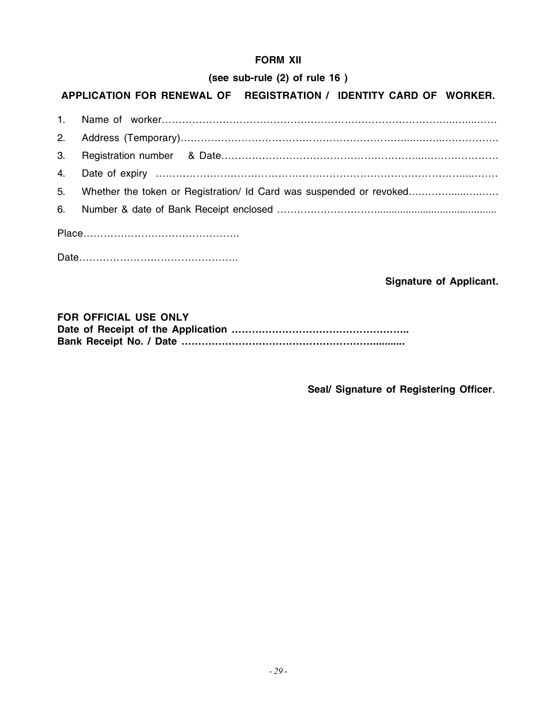# **FORM XII**

# **(see sub-rule (2) of rule 16 )**

# **APPLICATION FOR RENEWAL OF REGISTRATION / IDENTITY CARD OF WORKER.**

| 5. Whether the token or Registration/ Id Card was suspended or revoked |  |  |  |  |  |
|------------------------------------------------------------------------|--|--|--|--|--|
|                                                                        |  |  |  |  |  |
|                                                                        |  |  |  |  |  |
|                                                                        |  |  |  |  |  |

**Signature of Applicant.**

| <b>FOR OFFICIAL USE ONLY</b> |
|------------------------------|
|                              |
|                              |

 **Seal/ Signature of Registering Officer**.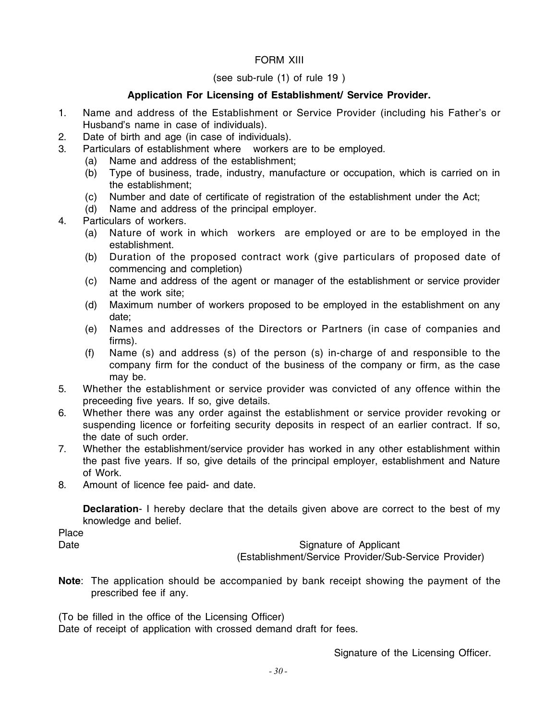# FORM XIII

#### (see sub-rule (1) of rule 19 )

# **Application For Licensing of Establishment/ Service Provider.**

- 1. Name and address of the Establishment or Service Provider (including his Father's or Husband's name in case of individuals).
- 2. Date of birth and age (in case of individuals).
- 3. Particulars of establishment where workers are to be employed.
	- (a) Name and address of the establishment;
	- (b) Type of business, trade, industry, manufacture or occupation, which is carried on in the establishment;
	- (c) Number and date of certificate of registration of the establishment under the Act;
	- (d) Name and address of the principal employer.
- 4. Particulars of workers.
	- (a) Nature of work in which workers are employed or are to be employed in the establishment.
	- (b) Duration of the proposed contract work (give particulars of proposed date of commencing and completion)
	- (c) Name and address of the agent or manager of the establishment or service provider at the work site;
	- (d) Maximum number of workers proposed to be employed in the establishment on any date;
	- (e) Names and addresses of the Directors or Partners (in case of companies and firms).
	- (f) Name (s) and address (s) of the person (s) in-charge of and responsible to the company firm for the conduct of the business of the company or firm, as the case may be.
- 5. Whether the establishment or service provider was convicted of any offence within the preceeding five years. If so, give details.
- 6. Whether there was any order against the establishment or service provider revoking or suspending licence or forfeiting security deposits in respect of an earlier contract. If so, the date of such order.
- 7. Whether the establishment/service provider has worked in any other establishment within the past five years. If so, give details of the principal employer, establishment and Nature of Work.
- 8. Amount of licence fee paid- and date.

**Declaration**- I hereby declare that the details given above are correct to the best of my knowledge and belief.

Place

Date **Signature of Applicant** (Establishment/Service Provider/Sub-Service Provider)

**Note**: The application should be accompanied by bank receipt showing the payment of the prescribed fee if any.

(To be filled in the office of the Licensing Officer) Date of receipt of application with crossed demand draft for fees.

Signature of the Licensing Officer.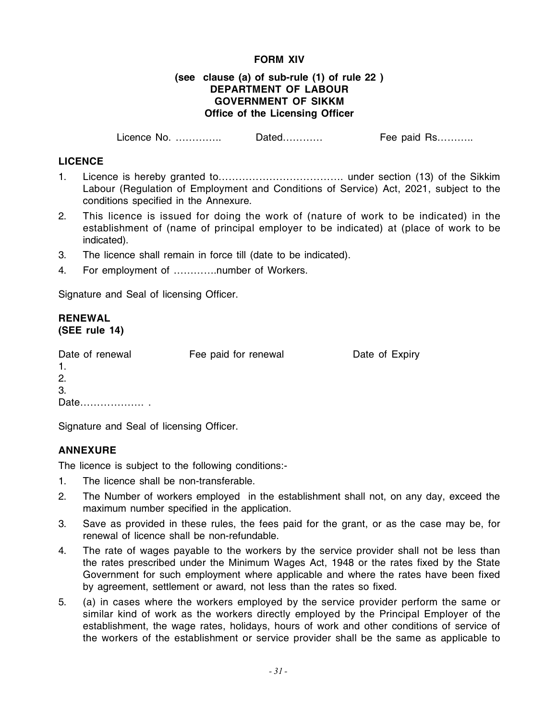#### **FORM XIV**

#### **(see clause (a) of sub-rule (1) of rule 22 ) DEPARTMENT OF LABOUR GOVERNMENT OF SIKKM Office of the Licensing Officer**

Licence No. ………….. Dated………… Fee paid Rs………..

#### **LICENCE**

- 1. Licence is hereby granted to………………………………. under section (13) of the Sikkim Labour (Regulation of Employment and Conditions of Service) Act, 2021, subject to the conditions specified in the Annexure.
- 2. This licence is issued for doing the work of (nature of work to be indicated) in the establishment of (name of principal employer to be indicated) at (place of work to be indicated).
- 3. The licence shall remain in force till (date to be indicated).
- 4. For employment of ………….number of Workers.

Signature and Seal of licensing Officer.

#### **RENEWAL (SEE rule 14)**

| Date of renewal | Fee paid for renewal | Date of Expiry |
|-----------------|----------------------|----------------|
|                 |                      |                |
| -2.             |                      |                |
| -3.             |                      |                |
| Date            |                      |                |

Signature and Seal of licensing Officer.

# **ANNEXURE**

The licence is subject to the following conditions:-

- 1. The licence shall be non-transferable.
- 2. The Number of workers employed in the establishment shall not, on any day, exceed the maximum number specified in the application.
- 3. Save as provided in these rules, the fees paid for the grant, or as the case may be, for renewal of licence shall be non-refundable.
- 4. The rate of wages payable to the workers by the service provider shall not be less than the rates prescribed under the Minimum Wages Act, 1948 or the rates fixed by the State Government for such employment where applicable and where the rates have been fixed by agreement, settlement or award, not less than the rates so fixed.
- 5. (a) in cases where the workers employed by the service provider perform the same or similar kind of work as the workers directly employed by the Principal Employer of the establishment, the wage rates, holidays, hours of work and other conditions of service of the workers of the establishment or service provider shall be the same as applicable to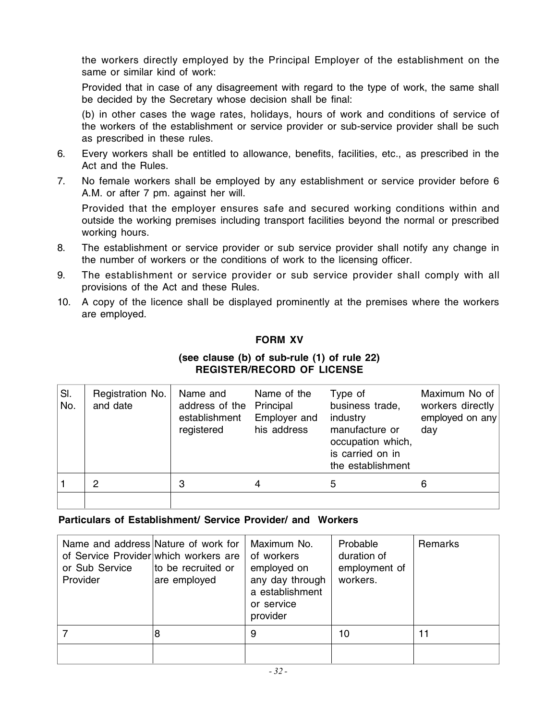the workers directly employed by the Principal Employer of the establishment on the same or similar kind of work:

Provided that in case of any disagreement with regard to the type of work, the same shall be decided by the Secretary whose decision shall be final:

(b) in other cases the wage rates, holidays, hours of work and conditions of service of the workers of the establishment or service provider or sub-service provider shall be such as prescribed in these rules.

- 6. Every workers shall be entitled to allowance, benefits, facilities, etc., as prescribed in the Act and the Rules.
- 7. No female workers shall be employed by any establishment or service provider before 6 A.M. or after 7 pm. against her will.

Provided that the employer ensures safe and secured working conditions within and outside the working premises including transport facilities beyond the normal or prescribed working hours.

- 8. The establishment or service provider or sub service provider shall notify any change in the number of workers or the conditions of work to the licensing officer.
- 9. The establishment or service provider or sub service provider shall comply with all provisions of the Act and these Rules.
- 10. A copy of the licence shall be displayed prominently at the premises where the workers are employed.

# **FORM XV**

#### **(see clause (b) of sub-rule (1) of rule 22) REGISTER/RECORD OF LICENSE**

| SI.<br>No. | Registration No.<br>and date | Name and<br>address of the<br>establishment<br>registered | Name of the<br>Principal<br>Employer and<br>his address | Type of<br>business trade,<br>industry<br>manufacture or<br>occupation which,<br>is carried on in<br>the establishment | Maximum No of<br>workers directly<br>employed on any<br>day |
|------------|------------------------------|-----------------------------------------------------------|---------------------------------------------------------|------------------------------------------------------------------------------------------------------------------------|-------------------------------------------------------------|
|            | 2                            | 3                                                         |                                                         | 5                                                                                                                      | 6                                                           |
|            |                              |                                                           |                                                         |                                                                                                                        |                                                             |

# **Particulars of Establishment/ Service Provider/ and Workers**

| Name and address Nature of work for<br>of Service Provider which workers are<br>or Sub Service<br>Provider | to be recruited or<br>are employed | Maximum No.<br>of workers<br>employed on<br>any day through<br>a establishment<br>or service<br>provider | Probable<br>duration of<br>employment of<br>workers. | Remarks |
|------------------------------------------------------------------------------------------------------------|------------------------------------|----------------------------------------------------------------------------------------------------------|------------------------------------------------------|---------|
|                                                                                                            | 8                                  | 9                                                                                                        | 10                                                   | 11      |
|                                                                                                            |                                    |                                                                                                          |                                                      |         |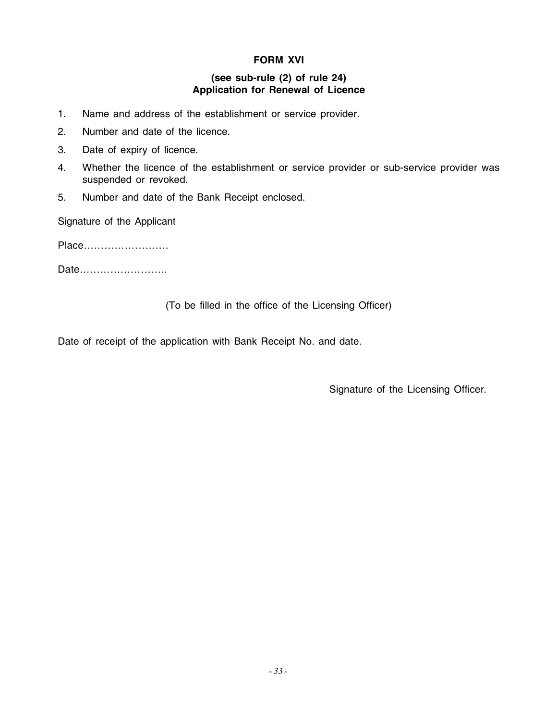# **FORM XVI**

### **(see sub-rule (2) of rule 24) Application for Renewal of Licence**

- 1. Name and address of the establishment or service provider.
- 2. Number and date of the licence.
- 3. Date of expiry of licence.
- 4. Whether the licence of the establishment or service provider or sub-service provider was suspended or revoked.
- 5. Number and date of the Bank Receipt enclosed.

Signature of the Applicant

Place…………………….

Date……………………..

(To be filled in the office of the Licensing Officer)

Date of receipt of the application with Bank Receipt No. and date.

Signature of the Licensing Officer.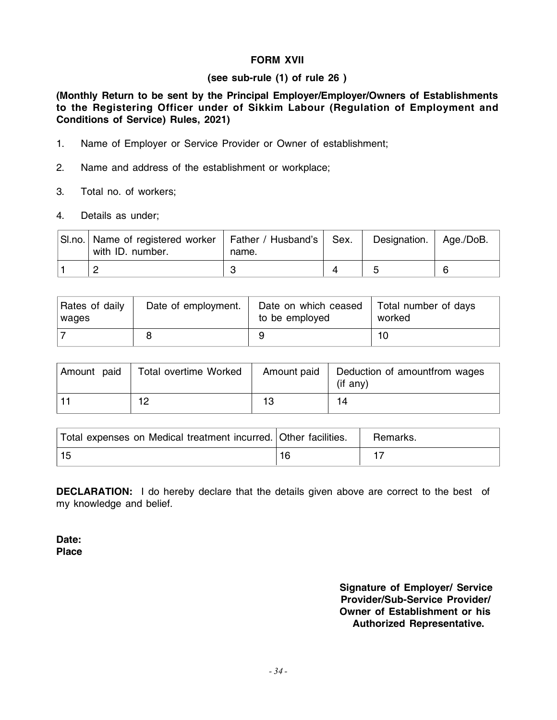# **FORM XVII**

#### **(see sub-rule (1) of rule 26 )**

**(Monthly Return to be sent by the Principal Employer/Employer/Owners of Establishments to the Registering Officer under of Sikkim Labour (Regulation of Employment and Conditions of Service) Rules, 2021)**

- 1. Name of Employer or Service Provider or Owner of establishment;
- 2. Name and address of the establishment or workplace;
- 3. Total no. of workers;
- 4. Details as under;

| SI.no. Name of registered worker   Father / Husband's  <br>with ID. number. | name. | Sex. | Designation.   Age./DoB. |  |
|-----------------------------------------------------------------------------|-------|------|--------------------------|--|
|                                                                             |       |      | <sup>5</sup>             |  |

| Rates of daily | Date of employment. | Date on which ceased | Total number of days |
|----------------|---------------------|----------------------|----------------------|
| wages          |                     | to be employed       | worked               |
|                |                     |                      |                      |

| Amount paid | Total overtime Worked | Amount paid | Deduction of amountfrom wages<br>$(if$ any) |
|-------------|-----------------------|-------------|---------------------------------------------|
|             | 10                    | 13          | 14                                          |

| Total expenses on Medical treatment incurred. Other facilities. | Remarks. |
|-----------------------------------------------------------------|----------|
|                                                                 |          |

**DECLARATION:** I do hereby declare that the details given above are correct to the best of my knowledge and belief.

**Date: Place**

> **Signature of Employer/ Service Provider/Sub-Service Provider/ Owner of Establishment or his Authorized Representative.**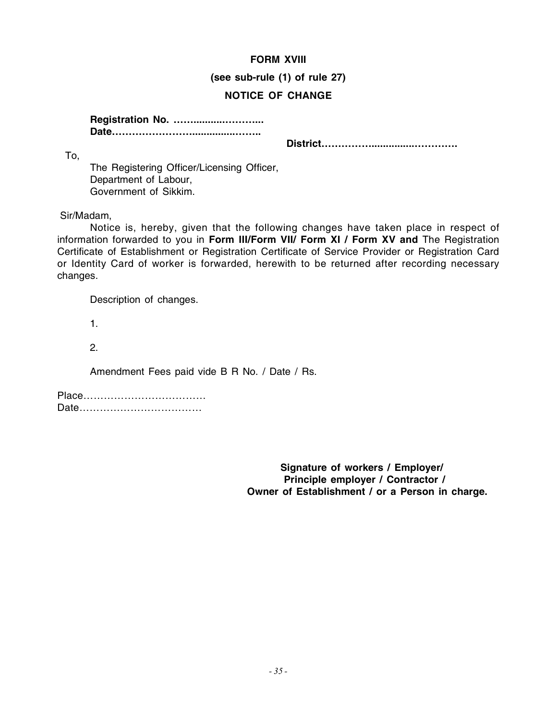#### **FORM XVIII**

**(see sub-rule (1) of rule 27)**

# **NOTICE OF CHANGE**

**Registration No. ……...........………... Date……………………...............……..**

**District……………...............………….**

The Registering Officer/Licensing Officer, Department of Labour, Government of Sikkim.

Sir/Madam,

To,

Notice is, hereby, given that the following changes have taken place in respect of information forwarded to you in **Form III/Form VII/ Form XI / Form XV and** The Registration Certificate of Establishment or Registration Certificate of Service Provider or Registration Card or Identity Card of worker is forwarded, herewith to be returned after recording necessary changes.

Description of changes.

1.

2.

Amendment Fees paid vide B R No. / Date / Rs.

Place……………………………… Date………………………………

> **Signature of workers / Employer/ Principle employer / Contractor / Owner of Establishment / or a Person in charge.**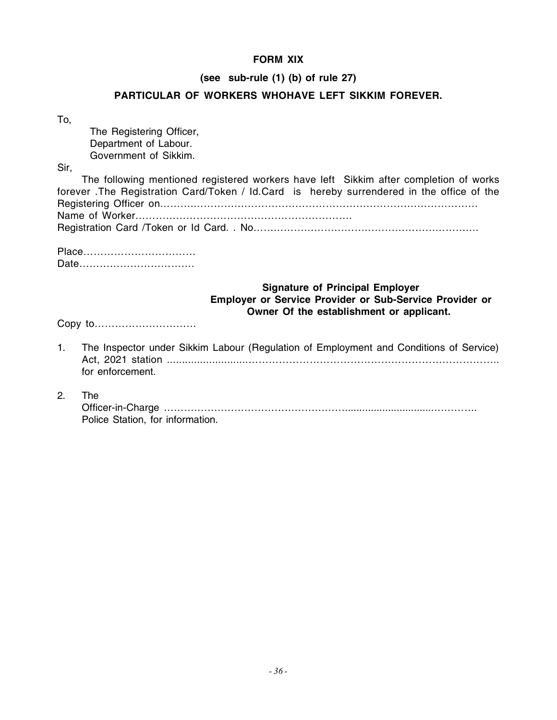# **FORM XIX**

#### **(see sub-rule (1) (b) of rule 27)**

### **PARTICULAR OF WORKERS WHOHAVE LEFT SIKKIM FOREVER.**

| ×<br>۰.<br>v<br>m. |
|--------------------|

The Registering Officer, Department of Labour. Government of Sikkim.

Sir,

| The following mentioned registered workers have left Sikkim after completion of works     |  |
|-------------------------------------------------------------------------------------------|--|
| forever. The Registration Card/Token / Id.Card is hereby surrendered in the office of the |  |
|                                                                                           |  |
|                                                                                           |  |
|                                                                                           |  |

Place…………………………… Date…………………………….

### **Signature of Principal Employer Employer or Service Provider or Sub-Service Provider or Owner Of the establishment or applicant.**

Copy to…………………………

- 1. The Inspector under Sikkim Labour (Regulation of Employment and Conditions of Service) Act, 2021 station ...........................……………………………………………………………….. for enforcement.
- 2. The

| Police Station, for information. |
|----------------------------------|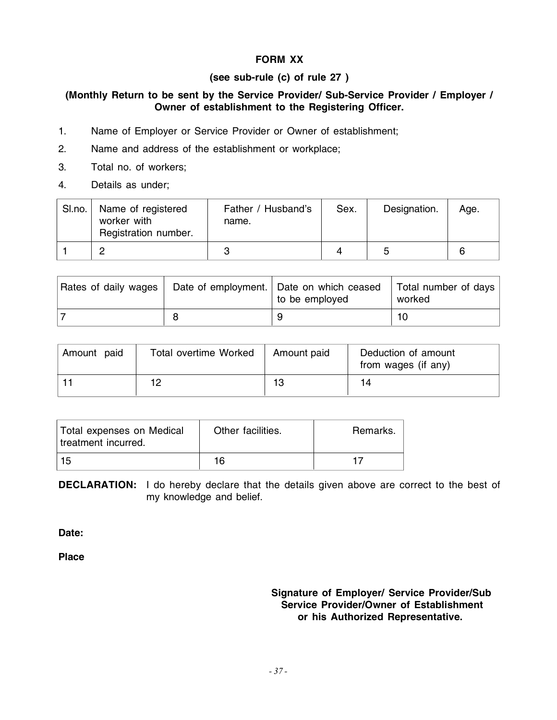# **FORM XX**

# **(see sub-rule (c) of rule 27 )**

### **(Monthly Return to be sent by the Service Provider/ Sub-Service Provider / Employer / Owner of establishment to the Registering Officer.**

- 1. Name of Employer or Service Provider or Owner of establishment;
- 2. Name and address of the establishment or workplace;
- 3. Total no. of workers;
- 4. Details as under;

| SI.no. | Name of registered<br>worker with<br>Registration number. | Father / Husband's<br>name. | Sex. | Designation. | Age. |
|--------|-----------------------------------------------------------|-----------------------------|------|--------------|------|
|        | C                                                         | ≏<br>v.                     |      | h            | ี    |

| Rates of daily wages | Date of employment.   Date on which ceased<br>to be employed | Total number of days<br>worked |
|----------------------|--------------------------------------------------------------|--------------------------------|
|                      |                                                              | 10                             |

| Amount paid | <b>Total overtime Worked</b> | Amount paid | Deduction of amount<br>from wages (if any) |
|-------------|------------------------------|-------------|--------------------------------------------|
|             | 10                           | 13          | 14                                         |

| Total expenses on Medical<br>treatment incurred. | Other facilities. | Remarks. |
|--------------------------------------------------|-------------------|----------|
| 15                                               | 16                |          |

**DECLARATION:** I do hereby declare that the details given above are correct to the best of my knowledge and belief.

**Date:**

**Place**

#### **Signature of Employer/ Service Provider/Sub Service Provider/Owner of Establishment or his Authorized Representative.**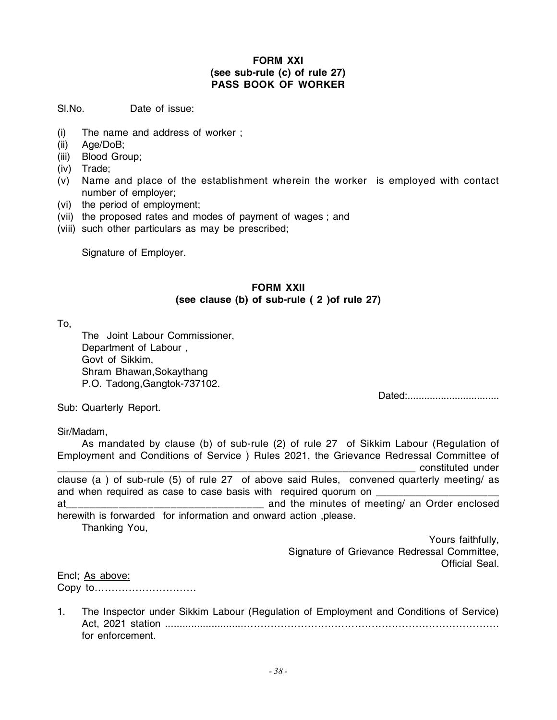#### **FORM XXI (see sub-rule (c) of rule 27) PASS BOOK OF WORKER**

Sl.No. Date of issue:

- (i) The name and address of worker ;
- (ii) Age/DoB;
- (iii) Blood Group;
- (iv) Trade;
- (v) Name and place of the establishment wherein the worker is employed with contact number of employer;
- (vi) the period of employment;
- (vii) the proposed rates and modes of payment of wages ; and
- (viii) such other particulars as may be prescribed;

Signature of Employer.

## **FORM XXII (see clause (b) of sub-rule ( 2 )of rule 27)**

To,

The Joint Labour Commissioner, Department of Labour , Govt of Sikkim, Shram Bhawan,Sokaythang P.O. Tadong,Gangtok-737102.

Dated:.................................

Sub: Quarterly Report.

#### Sir/Madam,

As mandated by clause (b) of sub-rule (2) of rule 27 of Sikkim Labour (Regulation of Employment and Conditions of Service ) Rules 2021, the Grievance Redressal Committee of constituted under clause (a ) of sub-rule (5) of rule 27 of above said Rules, convened quarterly meeting/ as and when required as case to case basis with required quorum on at\_\_\_\_\_\_\_\_\_\_\_\_\_\_\_\_\_\_\_\_\_\_\_\_\_\_\_\_\_\_\_\_\_\_ and the minutes of meeting/ an Order enclosed herewith is forwarded for information and onward action ,please. Thanking You,

 Yours faithfully, Signature of Grievance Redressal Committee, Official Seal.

Encl; As above: Copy to…………………………

1. The Inspector under Sikkim Labour (Regulation of Employment and Conditions of Service) Act, 2021 station ...........................…………………………………………………………………. for enforcement.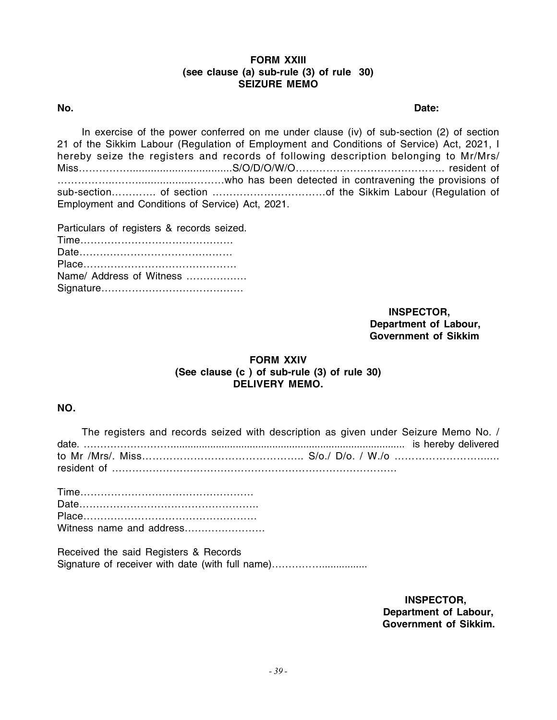#### **FORM XXIII (see clause (a) sub-rule (3) of rule 30) SEIZURE MEMO**

**No. Date:**

In exercise of the power conferred on me under clause (iv) of sub-section (2) of section 21 of the Sikkim Labour (Regulation of Employment and Conditions of Service) Act, 2021, I hereby seize the registers and records of following description belonging to Mr/Mrs/ Miss……………..................................S/O/D/O/W/O…………………………………….. resident of ……………..……...................………who has been detected in contravening the provisions of sub-section…………. of section ……………………………of the Sikkim Labour (Regulation of Employment and Conditions of Service) Act, 2021.

Particulars of registers & records seized. Time……………………………………… Date……………………………………… Place……………………………………… Name/ Address of Witness ……………… Signature……………………………………

> **INSPECTOR, Department of Labour, Government of Sikkim**

#### **FORM XXIV (See clause (c ) of sub-rule (3) of rule 30) DELIVERY MEMO.**

#### **NO.**

| The registers and records seized with description as given under Seizure Memo No. / |  |
|-------------------------------------------------------------------------------------|--|
|                                                                                     |  |
|                                                                                     |  |
|                                                                                     |  |

| Witness name and address |
|--------------------------|

Received the said Registers & Records Signature of receiver with date (with full name)................................

> **INSPECTOR, Department of Labour, Government of Sikkim.**